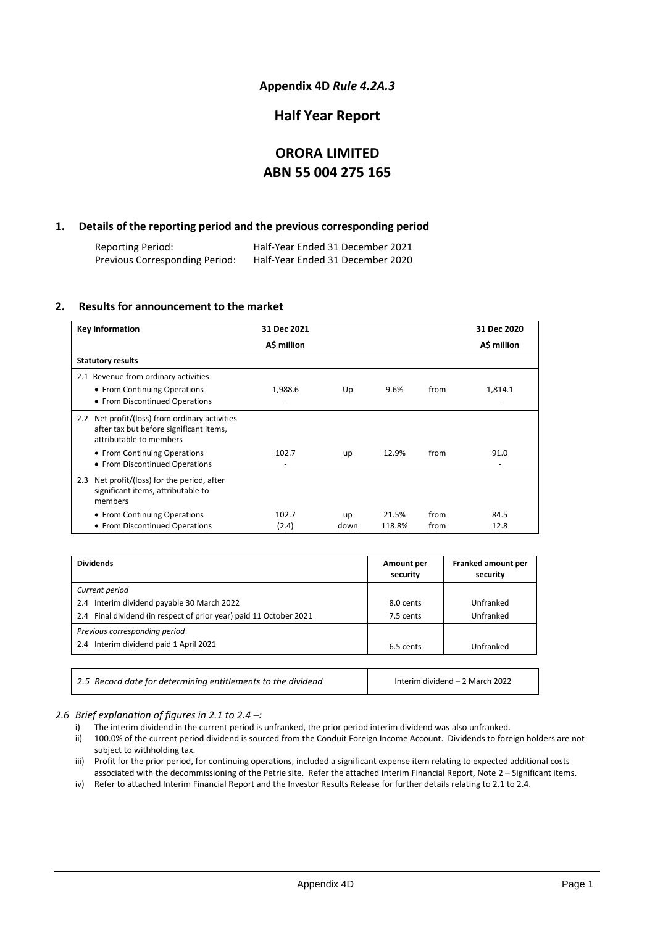# **Appendix 4D** *Rule 4.2A.3*

# **Half Year Report**

# **ORORA LIMITED ABN 55 004 275 165**

# **1. Details of the reporting period and the previous corresponding period**

Reporting Period: Half-Year Ended 31 December 2021 Previous Corresponding Period:

# **2. Results for announcement to the market**

| Key information                                                                                                      | 31 Dec 2021    |            |                 |              | 31 Dec 2020  |
|----------------------------------------------------------------------------------------------------------------------|----------------|------------|-----------------|--------------|--------------|
|                                                                                                                      | A\$ million    |            |                 |              | A\$ million  |
| <b>Statutory results</b>                                                                                             |                |            |                 |              |              |
| 2.1 Revenue from ordinary activities                                                                                 |                |            |                 |              |              |
| • From Continuing Operations<br>• From Discontinued Operations                                                       | 1,988.6        | Up         | 9.6%            | from         | 1,814.1      |
| 2.2 Net profit/(loss) from ordinary activities<br>after tax but before significant items,<br>attributable to members |                |            |                 |              |              |
| • From Continuing Operations<br>• From Discontinued Operations                                                       | 102.7          | up         | 12.9%           | from         | 91.0         |
| 2.3 Net profit/(loss) for the period, after<br>significant items, attributable to<br>members                         |                |            |                 |              |              |
| • From Continuing Operations<br>• From Discontinued Operations                                                       | 102.7<br>(2.4) | up<br>down | 21.5%<br>118.8% | from<br>from | 84.5<br>12.8 |

| <b>Dividends</b>                                                   | Amount per<br>security | Franked amount per<br>security |
|--------------------------------------------------------------------|------------------------|--------------------------------|
| Current period                                                     |                        |                                |
| 2.4 Interim dividend payable 30 March 2022                         | 8.0 cents              | Unfranked                      |
| 2.4 Final dividend (in respect of prior year) paid 11 October 2021 | 7.5 cents              | Unfranked                      |
| Previous corresponding period                                      |                        |                                |
| 2.4 Interim dividend paid 1 April 2021                             | 6.5 cents              | Unfranked                      |

*2.5 Record date for determining entitlements to the dividend* Interim dividend – 2 March 2022

*2.6 Brief explanation of figures in 2.1 to 2.4 –:*

- i) The interim dividend in the current period is unfranked, the prior period interim dividend was also unfranked.
- ii) 100.0% of the current period dividend is sourced from the Conduit Foreign Income Account. Dividends to foreign holders are not subject to withholding tax.
- iii) Profit for the prior period, for continuing operations, included a significant expense item relating to expected additional costs associated with the decommissioning of the Petrie site. Refer the attached Interim Financial Report, Note 2 – Significant items.
- iv) Refer to attached Interim Financial Report and the Investor Results Release for further details relating to 2.1 to 2.4.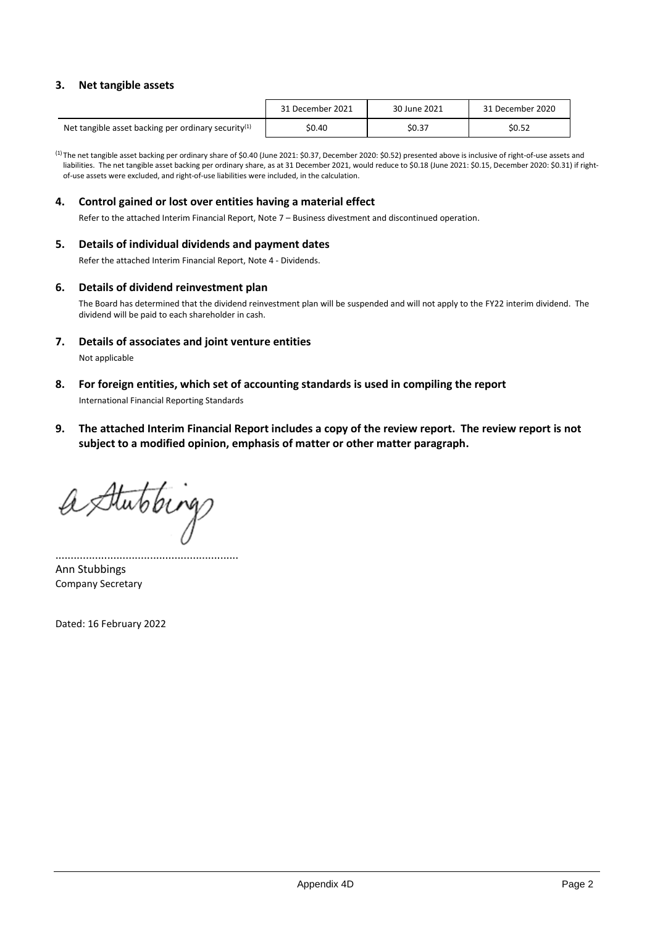# **3. Net tangible assets**

|                                                        | 31 December 2021 | 30 June 2021 | 31 December 2020 |
|--------------------------------------------------------|------------------|--------------|------------------|
| Net tangible asset backing per ordinary security $(1)$ | \$0.40           | \$0.37       | \$0.52           |

(1) The net tangible asset backing per ordinary share of \$0.40 (June 2021: \$0.37, December 2020: \$0.52) presented above is inclusive of right-of-use assets and liabilities. The net tangible asset backing per ordinary share, as at 31 December 2021, would reduce to \$0.18 (June 2021: \$0.15, December 2020: \$0.31) if rightof-use assets were excluded, and right-of-use liabilities were included, in the calculation.

## **4. Control gained or lost over entities having a material effect**

Refer to the attached Interim Financial Report, Note 7 – Business divestment and discontinued operation.

## **5. Details of individual dividends and payment dates**

Refer the attached Interim Financial Report, Note 4 - Dividends.

### **6. Details of dividend reinvestment plan**

The Board has determined that the dividend reinvestment plan will be suspended and will not apply to the FY22 interim dividend. The dividend will be paid to each shareholder in cash.

**7. Details of associates and joint venture entities**

Not applicable

**8. For foreign entities, which set of accounting standards is used in compiling the report**

International Financial Reporting Standards

**9. The attached Interim Financial Report includes a copy of the review report. The review report is not subject to a modified opinion, emphasis of matter or other matter paragraph.**

a Stutibing

............................................................ Ann Stubbings Company Secretary

Dated: 16 February 2022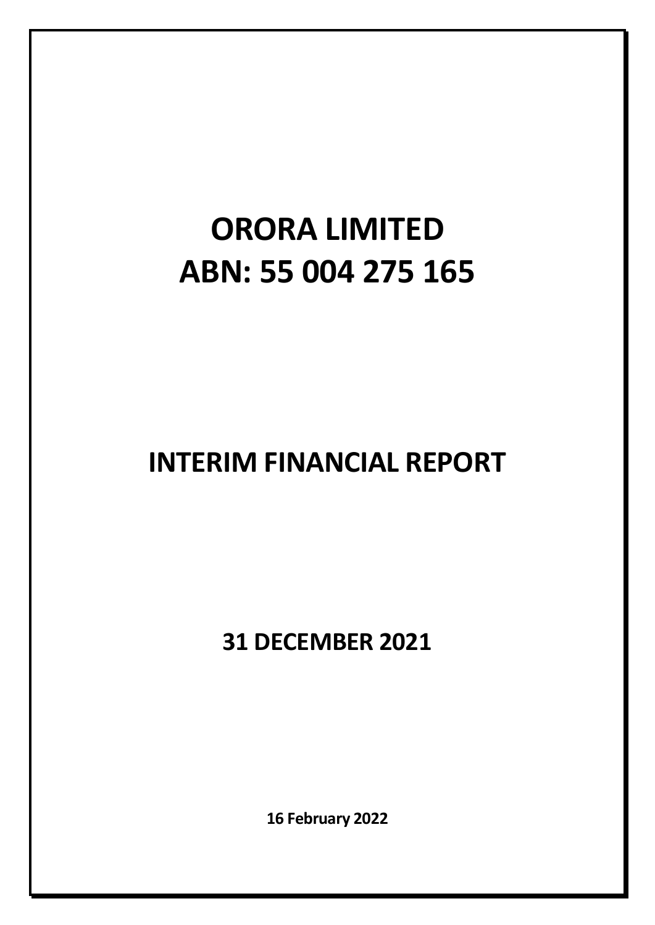# **ORORA LIMITED ABN: 55 004 275 165**

# **INTERIM FINANCIAL REPORT**

**31 DECEMBER 2021** 

**16 February 2022**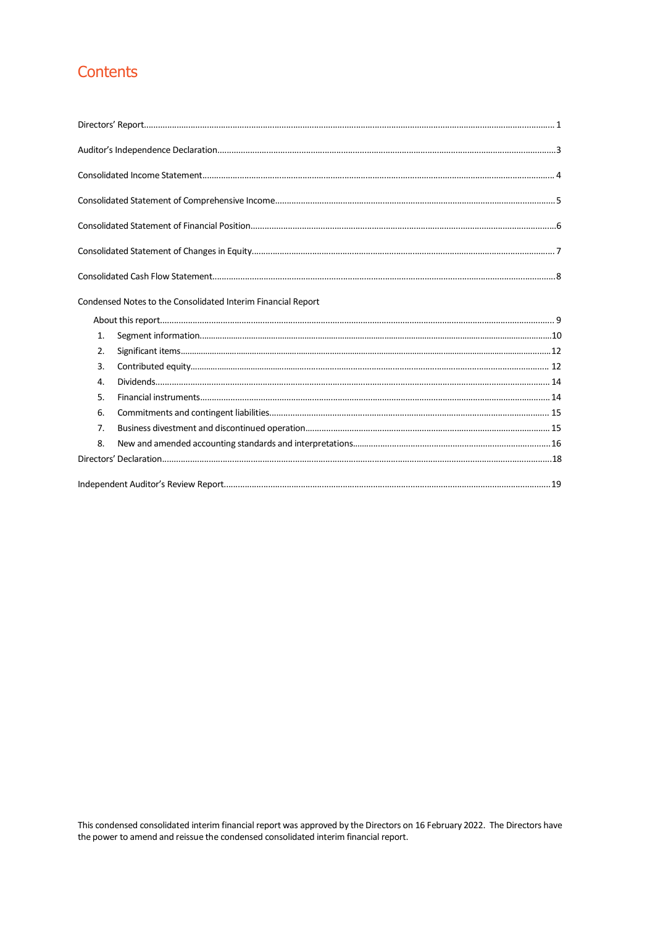# Contents

|                | Condensed Notes to the Consolidated Interim Financial Report |  |
|----------------|--------------------------------------------------------------|--|
|                |                                                              |  |
| 1.             |                                                              |  |
| 2.             |                                                              |  |
| 3.             |                                                              |  |
| 4.             |                                                              |  |
| 5.             |                                                              |  |
| 6.             |                                                              |  |
| 7 <sub>1</sub> |                                                              |  |
| 8.             |                                                              |  |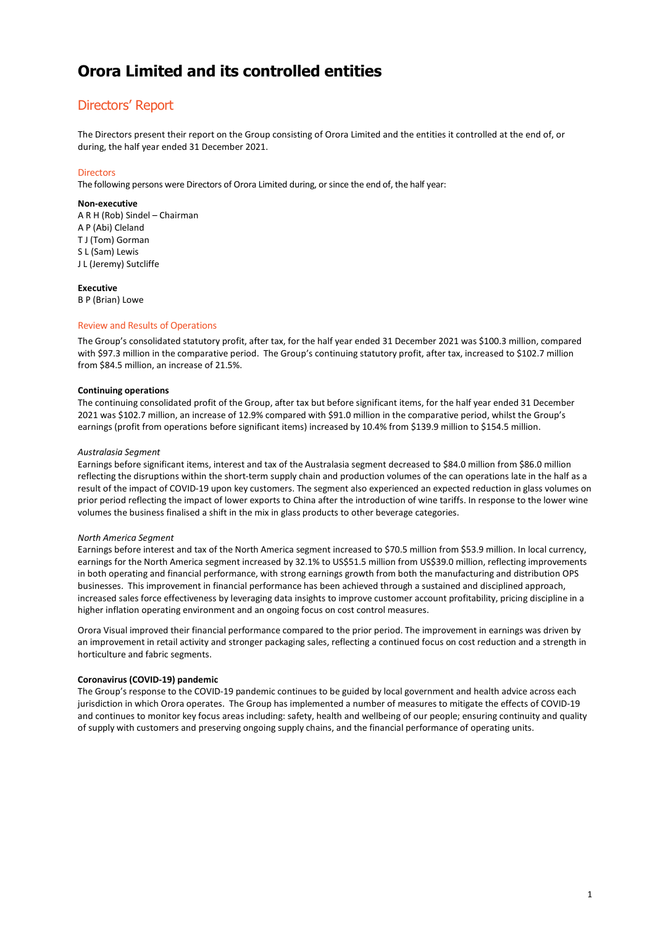# Directors' Report

The Directors present their report on the Group consisting of Orora Limited and the entities it controlled at the end of, or during, the half year ended 31 December 2021.

### **Directors**

The following persons were Directors of Orora Limited during, or since the end of, the half year:

#### **Non-executive**

A R H (Rob) Sindel – Chairman A P (Abi) Cleland T J (Tom) Gorman S L (Sam) Lewis J L (Jeremy) Sutcliffe

### **Executive**

B P (Brian) Lowe

### Review and Results of Operations

The Group's consolidated statutory profit, after tax, for the half year ended 31 December 2021 was \$100.3 million, compared with \$97.3 million in the comparative period. The Group's continuing statutory profit, after tax, increased to \$102.7 million from \$84.5 million, an increase of 21.5%.

#### **Continuing operations**

The continuing consolidated profit of the Group, after tax but before significant items, for the half year ended 31 December 2021 was \$102.7 million, an increase of 12.9% compared with \$91.0 million in the comparative period, whilst the Group's earnings (profit from operations before significant items) increased by 10.4% from \$139.9 million to \$154.5 million.

#### *Australasia Segment*

Earnings before significant items, interest and tax of the Australasia segment decreased to \$84.0 million from \$86.0 million reflecting the disruptions within the short-term supply chain and production volumes of the can operations late in the half as a result of the impact of COVID-19 upon key customers. The segment also experienced an expected reduction in glass volumes on prior period reflecting the impact of lower exports to China after the introduction of wine tariffs. In response to the lower wine volumes the business finalised a shift in the mix in glass products to other beverage categories.

#### *North America Segment*

Earnings before interest and tax of the North America segment increased to \$70.5 million from \$53.9 million. In local currency, earnings for the North America segment increased by 32.1% to US\$51.5 million from US\$39.0 million, reflecting improvements in both operating and financial performance, with strong earnings growth from both the manufacturing and distribution OPS businesses. This improvement in financial performance has been achieved through a sustained and disciplined approach, increased sales force effectiveness by leveraging data insights to improve customer account profitability, pricing discipline in a higher inflation operating environment and an ongoing focus on cost control measures.

Orora Visual improved their financial performance compared to the prior period. The improvement in earnings was driven by an improvement in retail activity and stronger packaging sales, reflecting a continued focus on cost reduction and a strength in horticulture and fabric segments.

### **Coronavirus (COVID-19) pandemic**

The Group's response to the COVID-19 pandemic continues to be guided by local government and health advice across each jurisdiction in which Orora operates. The Group has implemented a number of measures to mitigate the effects of COVID-19 and continues to monitor key focus areas including: safety, health and wellbeing of our people; ensuring continuity and quality of supply with customers and preserving ongoing supply chains, and the financial performance of operating units.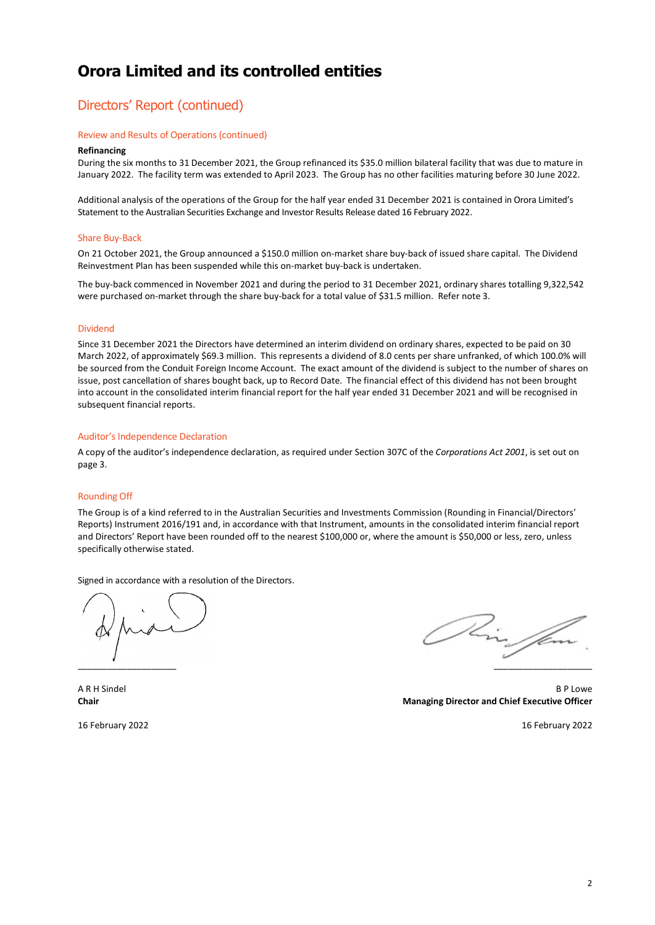# Directors' Report (continued)

#### Review and Results of Operations(continued)

#### **Refinancing**

During the six months to 31 December 2021, the Group refinanced its \$35.0 million bilateral facility that was due to mature in January 2022. The facility term was extended to April 2023. The Group has no other facilities maturing before 30 June 2022.

Additional analysis of the operations of the Group for the half year ended 31 December 2021 is contained in Orora Limited's Statement to the Australian Securities Exchange and Investor Results Release dated 16 February 2022.

#### Share Buy-Back

On 21 October 2021, the Group announced a \$150.0 million on-market share buy-back of issued share capital. The Dividend Reinvestment Plan has been suspended while this on-market buy-back is undertaken.

The buy-back commenced in November 2021 and during the period to 31 December 2021, ordinary shares totalling 9,322,542 were purchased on-market through the share buy-back for a total value of \$31.5 million. Refer note 3.

#### Dividend

Since 31 December 2021 the Directors have determined an interim dividend on ordinary shares, expected to be paid on 30 March 2022, of approximately \$69.3 million. This represents a dividend of 8.0 cents per share unfranked, of which 100.0% will be sourced from the Conduit Foreign Income Account. The exact amount of the dividend is subject to the number of shares on issue, post cancellation of shares bought back, up to Record Date. The financial effect of this dividend has not been brought into account in the consolidated interim financial report for the half year ended 31 December 2021 and will be recognised in subsequent financial reports.

#### Auditor's Independence Declaration

A copy of the auditor's independence declaration, as required under Section 307C of the *Corporations Act 2001*, is set out on page 3.

#### Rounding Off

The Group is of a kind referred to in the Australian Securities and Investments Commission (Rounding in Financial/Directors' Reports) Instrument 2016/191 and, in accordance with that Instrument, amounts in the consolidated interim financial report and Directors' Report have been rounded off to the nearest \$100,000 or, where the amount is \$50,000 or less, zero, unless specifically otherwise stated.

Signed in accordance with a resolution of the Directors.

\_\_\_\_\_\_\_\_\_\_\_\_\_\_\_\_\_\_\_\_ \_\_\_\_\_\_\_\_\_\_\_\_\_\_\_\_\_\_\_\_

A R H Sindel B P Lowe **Chair Managing Director and Chief Executive Officer**

16 February 2022 16 February 2022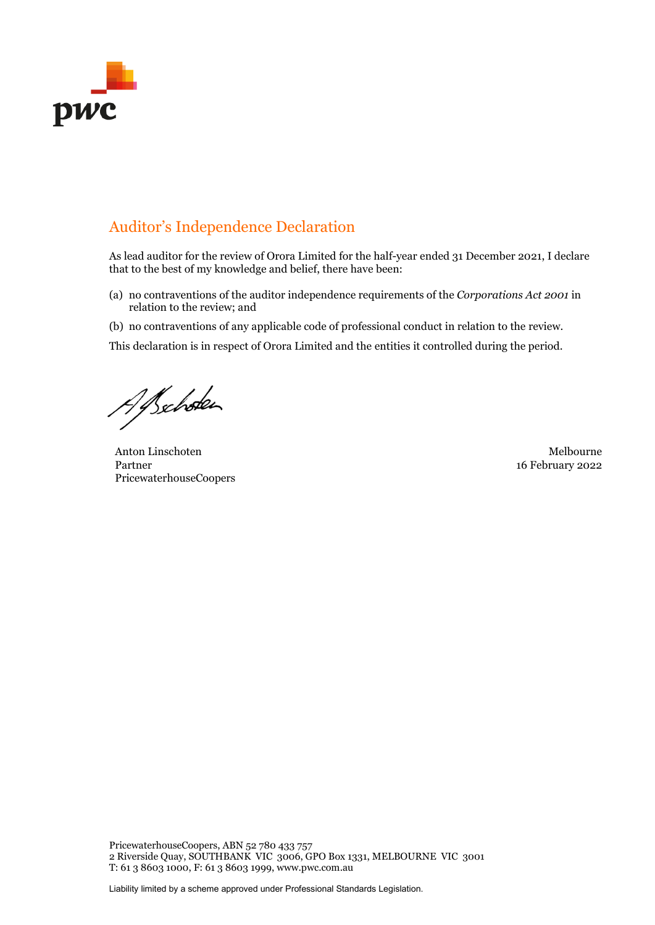

# Auditor's Independence Declaration

As lead auditor for the review of Orora Limited for the half-year ended 31 December 2021, I declare that to the best of my knowledge and belief, there have been:

- (a) no contraventions of the auditor independence requirements of the *Corporations Act 2001* in relation to the review; and
- (b) no contraventions of any applicable code of professional conduct in relation to the review.

This declaration is in respect of Orora Limited and the entities it controlled during the period.

Alschoten

Anton Linschoten Melbourne Partner PricewaterhouseCoopers

16 February 2022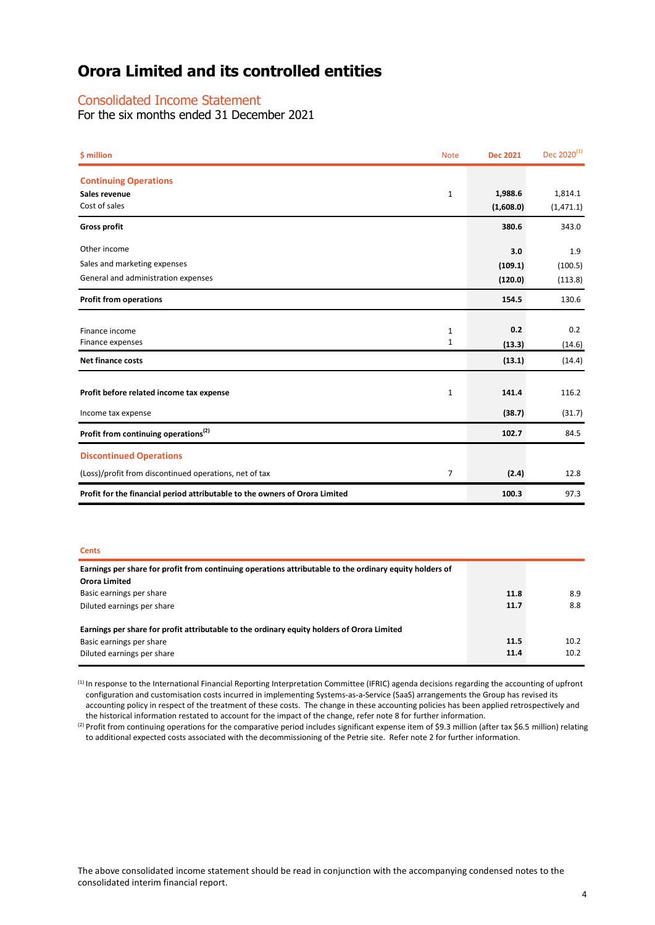# Consolidated Income Statement

For the six months ended 31 December 2021

| \$ million                                                                  | <b>Note</b>  | <b>Dec 2021</b> | Dec 2020 <sup>(1)</sup> |
|-----------------------------------------------------------------------------|--------------|-----------------|-------------------------|
| <b>Continuing Operations</b>                                                |              |                 |                         |
| Sales revenue                                                               | $\mathbf{1}$ | 1,988.6         | 1,814.1                 |
| Cost of sales                                                               |              | (1,608.0)       | (1,471.1)               |
| <b>Gross profit</b>                                                         |              | 380.6           | 343.0                   |
| Other income                                                                |              | 3.0             | 1.9                     |
| Sales and marketing expenses                                                |              | (109.1)         | (100.5)                 |
| General and administration expenses                                         |              | (120.0)         | (113.8)                 |
| <b>Profit from operations</b>                                               |              | 154.5           | 130.6                   |
|                                                                             |              |                 |                         |
| Finance income                                                              | 1            | 0.2             | 0.2                     |
| Finance expenses                                                            | 1            | (13.3)          | (14.6)                  |
| <b>Net finance costs</b>                                                    |              | (13.1)          | (14.4)                  |
|                                                                             |              |                 |                         |
| Profit before related income tax expense                                    | 1            | 141.4           | 116.2                   |
| Income tax expense                                                          |              | (38.7)          | (31.7)                  |
| Profit from continuing operations <sup>(2)</sup>                            |              | 102.7           | 84.5                    |
| <b>Discontinued Operations</b>                                              |              |                 |                         |
| (Loss)/profit from discontinued operations, net of tax                      | 7            | (2.4)           | 12.8                    |
| Profit for the financial period attributable to the owners of Orora Limited |              | 100.3           | 97.3                    |

#### **Cents**

| Earnings per share for profit from continuing operations attributable to the ordinary equity holders of |      |      |
|---------------------------------------------------------------------------------------------------------|------|------|
| Orora Limited                                                                                           |      |      |
| Basic earnings per share                                                                                | 11.8 | 8.9  |
| Diluted earnings per share                                                                              | 11.7 | 8.8  |
|                                                                                                         |      |      |
| Earnings per share for profit attributable to the ordinary equity holders of Orora Limited              |      |      |
| Basic earnings per share                                                                                | 11.5 | 10.2 |
| Diluted earnings per share                                                                              | 11.4 | 10.2 |

(1) In response to the International Financial Reporting Interpretation Committee (IFRIC) agenda decisions regarding the accounting of upfront configuration and customisation costs incurred in implementing Systems-as-a-Service (SaaS) arrangements the Group has revised its accounting policy in respect of the treatment of these costs. The change in these accounting policies has been applied retrospectively and the historical information restated to account for the impact of the change, refer

(2) Profit from continuing operations for the comparative period includes significant expense item of \$9.3 million (after tax \$6.5 million) relating to additional expected costs associated with the decommissioning of the Petrie site. Refer note 2 for further information.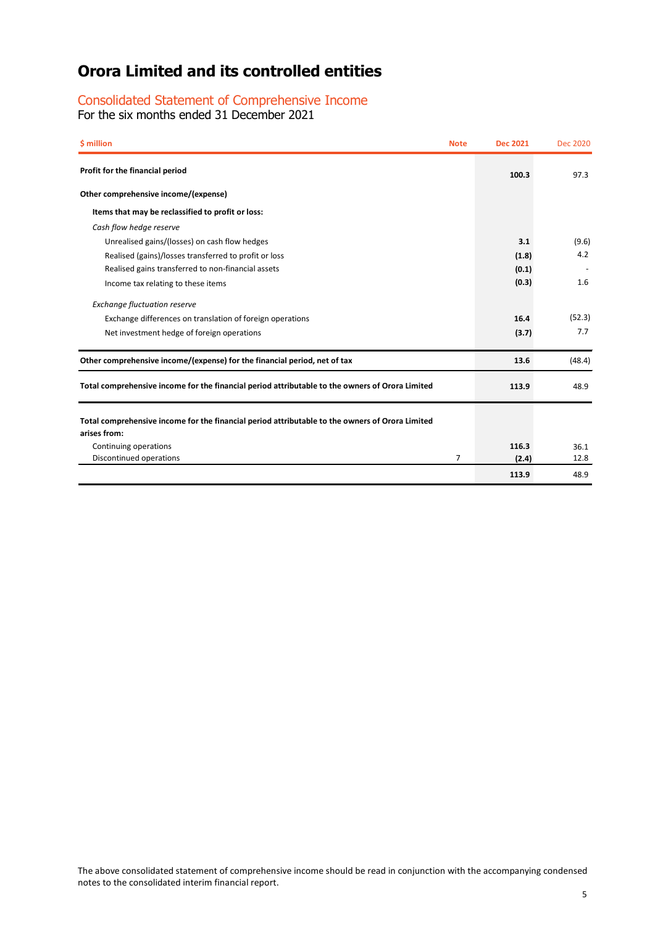# Consolidated Statement of Comprehensive Income

For the six months ended 31 December 2021

| \$ million<br><b>Note</b>                                                                                       | <b>Dec 2021</b> | <b>Dec 2020</b> |
|-----------------------------------------------------------------------------------------------------------------|-----------------|-----------------|
| Profit for the financial period                                                                                 | 100.3           | 97.3            |
| Other comprehensive income/(expense)                                                                            |                 |                 |
| Items that may be reclassified to profit or loss:                                                               |                 |                 |
| Cash flow hedge reserve                                                                                         |                 |                 |
| Unrealised gains/(losses) on cash flow hedges                                                                   | 3.1             | (9.6)           |
| Realised (gains)/losses transferred to profit or loss                                                           | (1.8)           | 4.2             |
| Realised gains transferred to non-financial assets                                                              | (0.1)           |                 |
| Income tax relating to these items                                                                              | (0.3)           | 1.6             |
| <b>Exchange fluctuation reserve</b>                                                                             |                 |                 |
| Exchange differences on translation of foreign operations                                                       | 16.4            | (52.3)          |
| Net investment hedge of foreign operations                                                                      | (3.7)           | 7.7             |
| Other comprehensive income/(expense) for the financial period, net of tax                                       | 13.6            | (48.4)          |
| Total comprehensive income for the financial period attributable to the owners of Orora Limited                 | 113.9           | 48.9            |
| Total comprehensive income for the financial period attributable to the owners of Orora Limited<br>arises from: |                 |                 |
| Continuing operations                                                                                           | 116.3           | 36.1            |
| Discontinued operations<br>7                                                                                    | (2.4)           | 12.8            |
|                                                                                                                 | 113.9           | 48.9            |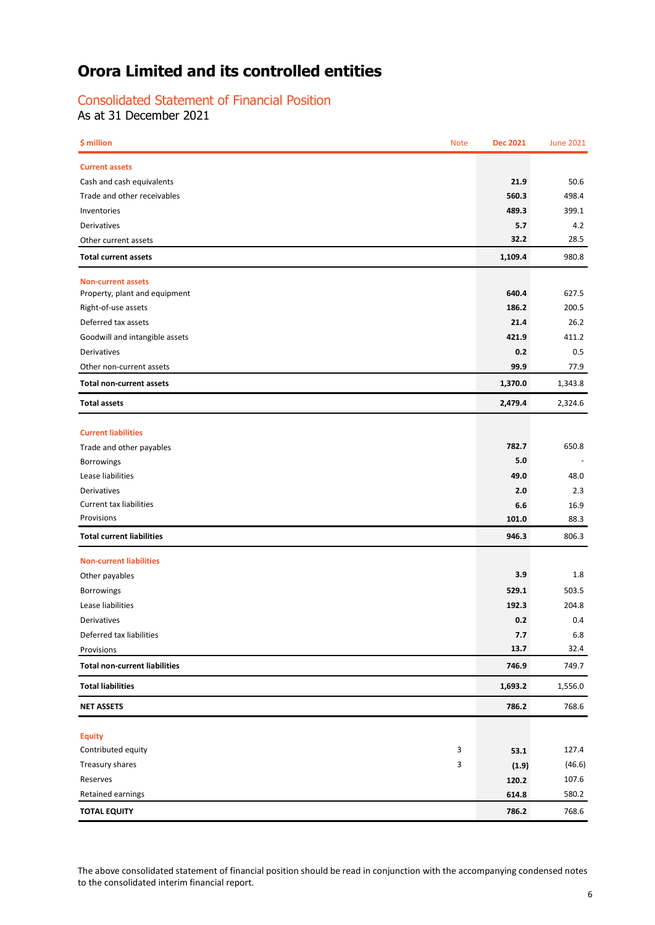# Consolidated Statement of Financial Position

As at 31 December 2021

| <b>Current assets</b><br>21.9<br>Cash and cash equivalents<br>50.6<br>560.3<br>498.4<br>Trade and other receivables<br>489.3<br>399.1<br>Inventories<br>5.7<br>Derivatives<br>4.2<br>32.2<br>28.5<br>Other current assets<br>1,109.4<br>980.8<br><b>Total current assets</b><br><b>Non-current assets</b><br>640.4<br>627.5<br>Property, plant and equipment<br>186.2<br>200.5<br>Right-of-use assets<br>Deferred tax assets<br>21.4<br>26.2<br>Goodwill and intangible assets<br>421.9<br>411.2<br>0.2<br>0.5<br>Derivatives<br>99.9<br>Other non-current assets<br>77.9<br>1,370.0<br>1,343.8<br><b>Total non-current assets</b><br>2,479.4<br>2,324.6<br><b>Total assets</b><br><b>Current liabilities</b><br>782.7<br>650.8<br>Trade and other payables<br>5.0<br>Borrowings<br>Lease liabilities<br>49.0<br>48.0<br>2.0<br>Derivatives<br>2.3<br><b>Current tax liabilities</b><br>6.6<br>16.9<br>Provisions<br>101.0<br>88.3<br><b>Total current liabilities</b><br>946.3<br>806.3<br><b>Non-current liabilities</b><br>3.9<br>1.8<br>Other payables<br>529.1<br>503.5<br>Borrowings<br>192.3<br>Lease liabilities<br>204.8<br>0.2<br>Derivatives<br>0.4<br>Deferred tax liabilities<br>7.7<br>6.8<br>13.7<br>32.4<br>Provisions<br><b>Total non-current liabilities</b><br>746.9<br>749.7<br><b>Total liabilities</b><br>1,693.2<br>1,556.0<br>786.2<br><b>NET ASSETS</b><br>768.6<br><b>Equity</b><br>Contributed equity<br>3<br>127.4<br>53.1<br>Treasury shares<br>3<br>(46.6)<br>(1.9)<br>Reserves<br>107.6<br>120.2<br>Retained earnings<br>580.2<br>614.8<br>786.2<br><b>TOTAL EQUITY</b><br>768.6 | \$ million | <b>Note</b> | <b>Dec 2021</b> | <b>June 2021</b> |
|-----------------------------------------------------------------------------------------------------------------------------------------------------------------------------------------------------------------------------------------------------------------------------------------------------------------------------------------------------------------------------------------------------------------------------------------------------------------------------------------------------------------------------------------------------------------------------------------------------------------------------------------------------------------------------------------------------------------------------------------------------------------------------------------------------------------------------------------------------------------------------------------------------------------------------------------------------------------------------------------------------------------------------------------------------------------------------------------------------------------------------------------------------------------------------------------------------------------------------------------------------------------------------------------------------------------------------------------------------------------------------------------------------------------------------------------------------------------------------------------------------------------------------------------------------------------------------------------------------------------|------------|-------------|-----------------|------------------|
|                                                                                                                                                                                                                                                                                                                                                                                                                                                                                                                                                                                                                                                                                                                                                                                                                                                                                                                                                                                                                                                                                                                                                                                                                                                                                                                                                                                                                                                                                                                                                                                                                 |            |             |                 |                  |
|                                                                                                                                                                                                                                                                                                                                                                                                                                                                                                                                                                                                                                                                                                                                                                                                                                                                                                                                                                                                                                                                                                                                                                                                                                                                                                                                                                                                                                                                                                                                                                                                                 |            |             |                 |                  |
|                                                                                                                                                                                                                                                                                                                                                                                                                                                                                                                                                                                                                                                                                                                                                                                                                                                                                                                                                                                                                                                                                                                                                                                                                                                                                                                                                                                                                                                                                                                                                                                                                 |            |             |                 |                  |
|                                                                                                                                                                                                                                                                                                                                                                                                                                                                                                                                                                                                                                                                                                                                                                                                                                                                                                                                                                                                                                                                                                                                                                                                                                                                                                                                                                                                                                                                                                                                                                                                                 |            |             |                 |                  |
|                                                                                                                                                                                                                                                                                                                                                                                                                                                                                                                                                                                                                                                                                                                                                                                                                                                                                                                                                                                                                                                                                                                                                                                                                                                                                                                                                                                                                                                                                                                                                                                                                 |            |             |                 |                  |
|                                                                                                                                                                                                                                                                                                                                                                                                                                                                                                                                                                                                                                                                                                                                                                                                                                                                                                                                                                                                                                                                                                                                                                                                                                                                                                                                                                                                                                                                                                                                                                                                                 |            |             |                 |                  |
|                                                                                                                                                                                                                                                                                                                                                                                                                                                                                                                                                                                                                                                                                                                                                                                                                                                                                                                                                                                                                                                                                                                                                                                                                                                                                                                                                                                                                                                                                                                                                                                                                 |            |             |                 |                  |
|                                                                                                                                                                                                                                                                                                                                                                                                                                                                                                                                                                                                                                                                                                                                                                                                                                                                                                                                                                                                                                                                                                                                                                                                                                                                                                                                                                                                                                                                                                                                                                                                                 |            |             |                 |                  |
|                                                                                                                                                                                                                                                                                                                                                                                                                                                                                                                                                                                                                                                                                                                                                                                                                                                                                                                                                                                                                                                                                                                                                                                                                                                                                                                                                                                                                                                                                                                                                                                                                 |            |             |                 |                  |
|                                                                                                                                                                                                                                                                                                                                                                                                                                                                                                                                                                                                                                                                                                                                                                                                                                                                                                                                                                                                                                                                                                                                                                                                                                                                                                                                                                                                                                                                                                                                                                                                                 |            |             |                 |                  |
|                                                                                                                                                                                                                                                                                                                                                                                                                                                                                                                                                                                                                                                                                                                                                                                                                                                                                                                                                                                                                                                                                                                                                                                                                                                                                                                                                                                                                                                                                                                                                                                                                 |            |             |                 |                  |
|                                                                                                                                                                                                                                                                                                                                                                                                                                                                                                                                                                                                                                                                                                                                                                                                                                                                                                                                                                                                                                                                                                                                                                                                                                                                                                                                                                                                                                                                                                                                                                                                                 |            |             |                 |                  |
|                                                                                                                                                                                                                                                                                                                                                                                                                                                                                                                                                                                                                                                                                                                                                                                                                                                                                                                                                                                                                                                                                                                                                                                                                                                                                                                                                                                                                                                                                                                                                                                                                 |            |             |                 |                  |
|                                                                                                                                                                                                                                                                                                                                                                                                                                                                                                                                                                                                                                                                                                                                                                                                                                                                                                                                                                                                                                                                                                                                                                                                                                                                                                                                                                                                                                                                                                                                                                                                                 |            |             |                 |                  |
|                                                                                                                                                                                                                                                                                                                                                                                                                                                                                                                                                                                                                                                                                                                                                                                                                                                                                                                                                                                                                                                                                                                                                                                                                                                                                                                                                                                                                                                                                                                                                                                                                 |            |             |                 |                  |
|                                                                                                                                                                                                                                                                                                                                                                                                                                                                                                                                                                                                                                                                                                                                                                                                                                                                                                                                                                                                                                                                                                                                                                                                                                                                                                                                                                                                                                                                                                                                                                                                                 |            |             |                 |                  |
|                                                                                                                                                                                                                                                                                                                                                                                                                                                                                                                                                                                                                                                                                                                                                                                                                                                                                                                                                                                                                                                                                                                                                                                                                                                                                                                                                                                                                                                                                                                                                                                                                 |            |             |                 |                  |
|                                                                                                                                                                                                                                                                                                                                                                                                                                                                                                                                                                                                                                                                                                                                                                                                                                                                                                                                                                                                                                                                                                                                                                                                                                                                                                                                                                                                                                                                                                                                                                                                                 |            |             |                 |                  |
|                                                                                                                                                                                                                                                                                                                                                                                                                                                                                                                                                                                                                                                                                                                                                                                                                                                                                                                                                                                                                                                                                                                                                                                                                                                                                                                                                                                                                                                                                                                                                                                                                 |            |             |                 |                  |
|                                                                                                                                                                                                                                                                                                                                                                                                                                                                                                                                                                                                                                                                                                                                                                                                                                                                                                                                                                                                                                                                                                                                                                                                                                                                                                                                                                                                                                                                                                                                                                                                                 |            |             |                 |                  |
|                                                                                                                                                                                                                                                                                                                                                                                                                                                                                                                                                                                                                                                                                                                                                                                                                                                                                                                                                                                                                                                                                                                                                                                                                                                                                                                                                                                                                                                                                                                                                                                                                 |            |             |                 |                  |
|                                                                                                                                                                                                                                                                                                                                                                                                                                                                                                                                                                                                                                                                                                                                                                                                                                                                                                                                                                                                                                                                                                                                                                                                                                                                                                                                                                                                                                                                                                                                                                                                                 |            |             |                 |                  |
|                                                                                                                                                                                                                                                                                                                                                                                                                                                                                                                                                                                                                                                                                                                                                                                                                                                                                                                                                                                                                                                                                                                                                                                                                                                                                                                                                                                                                                                                                                                                                                                                                 |            |             |                 |                  |
|                                                                                                                                                                                                                                                                                                                                                                                                                                                                                                                                                                                                                                                                                                                                                                                                                                                                                                                                                                                                                                                                                                                                                                                                                                                                                                                                                                                                                                                                                                                                                                                                                 |            |             |                 |                  |
|                                                                                                                                                                                                                                                                                                                                                                                                                                                                                                                                                                                                                                                                                                                                                                                                                                                                                                                                                                                                                                                                                                                                                                                                                                                                                                                                                                                                                                                                                                                                                                                                                 |            |             |                 |                  |
|                                                                                                                                                                                                                                                                                                                                                                                                                                                                                                                                                                                                                                                                                                                                                                                                                                                                                                                                                                                                                                                                                                                                                                                                                                                                                                                                                                                                                                                                                                                                                                                                                 |            |             |                 |                  |
|                                                                                                                                                                                                                                                                                                                                                                                                                                                                                                                                                                                                                                                                                                                                                                                                                                                                                                                                                                                                                                                                                                                                                                                                                                                                                                                                                                                                                                                                                                                                                                                                                 |            |             |                 |                  |
|                                                                                                                                                                                                                                                                                                                                                                                                                                                                                                                                                                                                                                                                                                                                                                                                                                                                                                                                                                                                                                                                                                                                                                                                                                                                                                                                                                                                                                                                                                                                                                                                                 |            |             |                 |                  |
|                                                                                                                                                                                                                                                                                                                                                                                                                                                                                                                                                                                                                                                                                                                                                                                                                                                                                                                                                                                                                                                                                                                                                                                                                                                                                                                                                                                                                                                                                                                                                                                                                 |            |             |                 |                  |
|                                                                                                                                                                                                                                                                                                                                                                                                                                                                                                                                                                                                                                                                                                                                                                                                                                                                                                                                                                                                                                                                                                                                                                                                                                                                                                                                                                                                                                                                                                                                                                                                                 |            |             |                 |                  |
|                                                                                                                                                                                                                                                                                                                                                                                                                                                                                                                                                                                                                                                                                                                                                                                                                                                                                                                                                                                                                                                                                                                                                                                                                                                                                                                                                                                                                                                                                                                                                                                                                 |            |             |                 |                  |
|                                                                                                                                                                                                                                                                                                                                                                                                                                                                                                                                                                                                                                                                                                                                                                                                                                                                                                                                                                                                                                                                                                                                                                                                                                                                                                                                                                                                                                                                                                                                                                                                                 |            |             |                 |                  |
|                                                                                                                                                                                                                                                                                                                                                                                                                                                                                                                                                                                                                                                                                                                                                                                                                                                                                                                                                                                                                                                                                                                                                                                                                                                                                                                                                                                                                                                                                                                                                                                                                 |            |             |                 |                  |
|                                                                                                                                                                                                                                                                                                                                                                                                                                                                                                                                                                                                                                                                                                                                                                                                                                                                                                                                                                                                                                                                                                                                                                                                                                                                                                                                                                                                                                                                                                                                                                                                                 |            |             |                 |                  |
|                                                                                                                                                                                                                                                                                                                                                                                                                                                                                                                                                                                                                                                                                                                                                                                                                                                                                                                                                                                                                                                                                                                                                                                                                                                                                                                                                                                                                                                                                                                                                                                                                 |            |             |                 |                  |
|                                                                                                                                                                                                                                                                                                                                                                                                                                                                                                                                                                                                                                                                                                                                                                                                                                                                                                                                                                                                                                                                                                                                                                                                                                                                                                                                                                                                                                                                                                                                                                                                                 |            |             |                 |                  |
|                                                                                                                                                                                                                                                                                                                                                                                                                                                                                                                                                                                                                                                                                                                                                                                                                                                                                                                                                                                                                                                                                                                                                                                                                                                                                                                                                                                                                                                                                                                                                                                                                 |            |             |                 |                  |
|                                                                                                                                                                                                                                                                                                                                                                                                                                                                                                                                                                                                                                                                                                                                                                                                                                                                                                                                                                                                                                                                                                                                                                                                                                                                                                                                                                                                                                                                                                                                                                                                                 |            |             |                 |                  |
|                                                                                                                                                                                                                                                                                                                                                                                                                                                                                                                                                                                                                                                                                                                                                                                                                                                                                                                                                                                                                                                                                                                                                                                                                                                                                                                                                                                                                                                                                                                                                                                                                 |            |             |                 |                  |
|                                                                                                                                                                                                                                                                                                                                                                                                                                                                                                                                                                                                                                                                                                                                                                                                                                                                                                                                                                                                                                                                                                                                                                                                                                                                                                                                                                                                                                                                                                                                                                                                                 |            |             |                 |                  |

The above consolidated statement of financial position should be read in conjunction with the accompanying condensed notes to the consolidated interim financial report.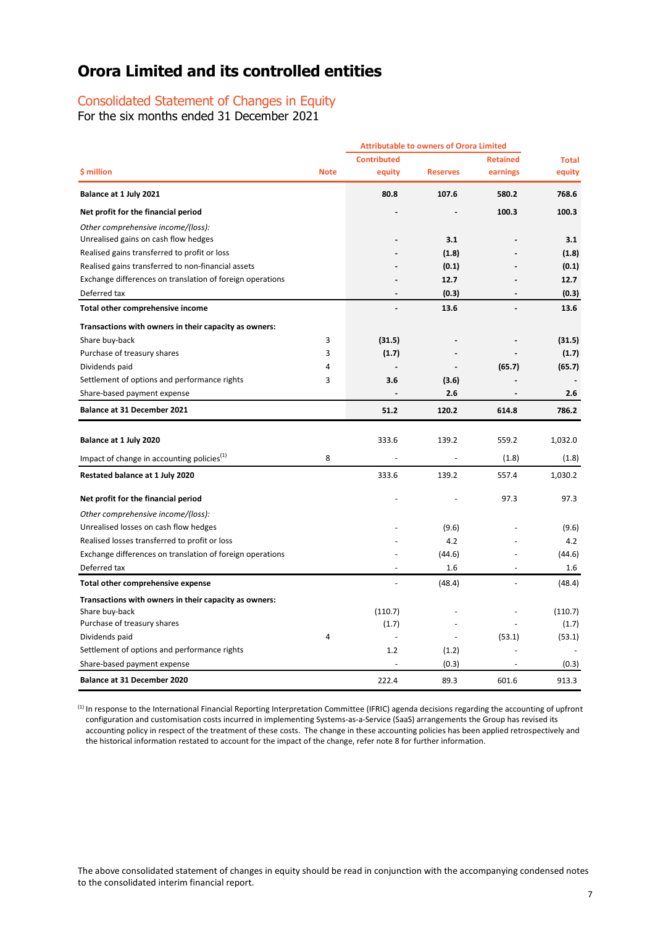# Consolidated Statement of Changes in Equity

For the six months ended 31 December 2021

|                                                           |             | <b>Attributable to owners of Orora Limited</b> |                 |                          |              |
|-----------------------------------------------------------|-------------|------------------------------------------------|-----------------|--------------------------|--------------|
|                                                           |             | <b>Contributed</b>                             |                 | <b>Retained</b>          | <b>Total</b> |
| \$ million                                                | <b>Note</b> | equity                                         | <b>Reserves</b> | earnings                 | equity       |
| Balance at 1 July 2021                                    |             | 80.8                                           | 107.6           | 580.2                    | 768.6        |
| Net profit for the financial period                       |             |                                                |                 | 100.3                    | 100.3        |
| Other comprehensive income/(loss):                        |             |                                                |                 |                          |              |
| Unrealised gains on cash flow hedges                      |             |                                                | 3.1             |                          | 3.1          |
| Realised gains transferred to profit or loss              |             |                                                | (1.8)           |                          | (1.8)        |
| Realised gains transferred to non-financial assets        |             |                                                | (0.1)           |                          | (0.1)        |
| Exchange differences on translation of foreign operations |             |                                                | 12.7            |                          | 12.7         |
| Deferred tax                                              |             |                                                | (0.3)           |                          | (0.3)        |
| Total other comprehensive income                          |             |                                                | 13.6            |                          | 13.6         |
| Transactions with owners in their capacity as owners:     |             |                                                |                 |                          |              |
| Share buy-back                                            | 3           | (31.5)                                         |                 |                          | (31.5)       |
| Purchase of treasury shares                               | 3           | (1.7)                                          |                 |                          | (1.7)        |
| Dividends paid                                            | 4           | $\sim$                                         |                 | (65.7)                   | (65.7)       |
| Settlement of options and performance rights              | 3           | 3.6                                            | (3.6)           |                          |              |
| Share-based payment expense                               |             |                                                | 2.6             |                          | 2.6          |
| <b>Balance at 31 December 2021</b>                        |             | 51.2                                           | 120.2           | 614.8                    | 786.2        |
|                                                           |             |                                                |                 |                          |              |
| Balance at 1 July 2020                                    |             | 333.6                                          | 139.2           | 559.2                    | 1,032.0      |
| Impact of change in accounting policies <sup>(1)</sup>    | 8           |                                                |                 | (1.8)                    | (1.8)        |
| Restated balance at 1 July 2020                           |             | 333.6                                          | 139.2           | 557.4                    | 1,030.2      |
| Net profit for the financial period                       |             |                                                |                 | 97.3                     | 97.3         |
| Other comprehensive income/(loss):                        |             |                                                |                 |                          |              |
| Unrealised losses on cash flow hedges                     |             |                                                | (9.6)           |                          | (9.6)        |
| Realised losses transferred to profit or loss             |             |                                                | 4.2             |                          | 4.2          |
| Exchange differences on translation of foreign operations |             |                                                | (44.6)          |                          | (44.6)       |
| Deferred tax                                              |             | $\sim$                                         | 1.6             | $\overline{\phantom{a}}$ | 1.6          |
| Total other comprehensive expense                         |             | $\overline{\phantom{a}}$                       | (48.4)          | $\overline{a}$           | (48.4)       |
| Transactions with owners in their capacity as owners:     |             |                                                |                 |                          |              |
| Share buy-back                                            |             | (110.7)                                        |                 |                          | (110.7)      |
| Purchase of treasury shares                               |             | (1.7)                                          |                 |                          | (1.7)        |
| Dividends paid                                            | 4           | ÷,                                             | $\overline{a}$  | (53.1)                   | (53.1)       |
| Settlement of options and performance rights              |             | 1.2                                            | (1.2)           |                          |              |
| Share-based payment expense                               |             |                                                | (0.3)           |                          | (0.3)        |
| <b>Balance at 31 December 2020</b>                        |             | 222.4                                          | 89.3            | 601.6                    | 913.3        |

(1) In response to the International Financial Reporting Interpretation Committee (IFRIC) agenda decisions regarding the accounting of upfront configuration and customisation costs incurred in implementing Systems-as-a-Service (SaaS) arrangements the Group has revised its accounting policy in respect of the treatment of these costs. The change in these accounting policies has been applied retrospectively and the historical information restated to account for the impact of the change, refer note 8 for further information.

The above consolidated statement of changes in equity should be read in conjunction with the accompanying condensed notes to the consolidated interim financial report.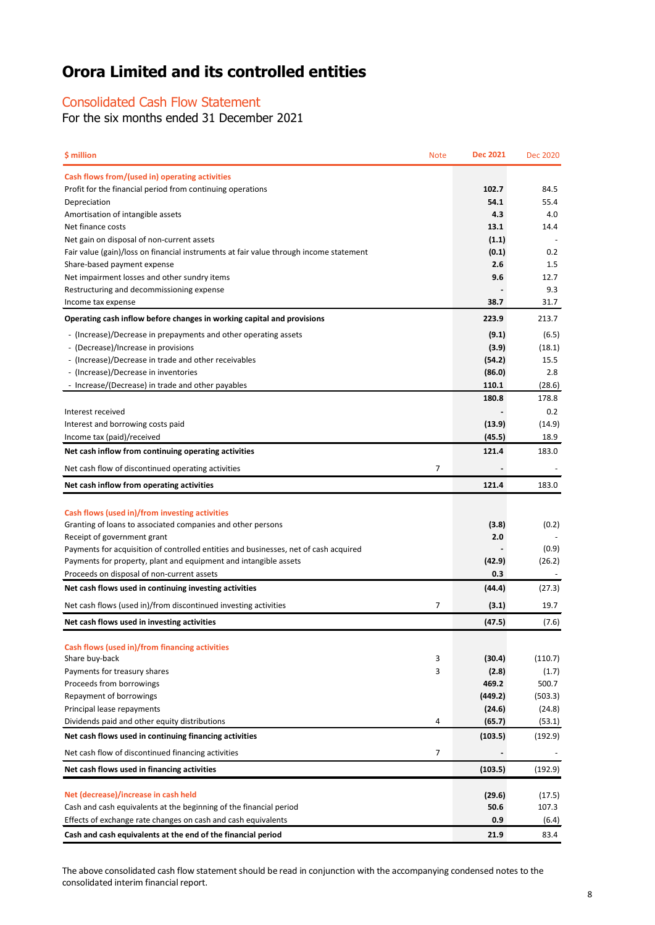# Consolidated Cash Flow Statement

For the six months ended 31 December 2021

| \$ million                                                                                                          | <b>Note</b> | <b>Dec 2021</b> | <b>Dec 2020</b> |
|---------------------------------------------------------------------------------------------------------------------|-------------|-----------------|-----------------|
| Cash flows from/(used in) operating activities                                                                      |             |                 |                 |
| Profit for the financial period from continuing operations                                                          |             | 102.7           | 84.5            |
| Depreciation                                                                                                        |             | 54.1            | 55.4            |
| Amortisation of intangible assets                                                                                   |             | 4.3             | 4.0             |
| Net finance costs                                                                                                   |             | 13.1            | 14.4            |
| Net gain on disposal of non-current assets                                                                          |             | (1.1)           |                 |
| Fair value (gain)/loss on financial instruments at fair value through income statement                              |             | (0.1)           | 0.2             |
| Share-based payment expense                                                                                         |             | 2.6             | 1.5<br>12.7     |
| Net impairment losses and other sundry items<br>Restructuring and decommissioning expense                           |             | 9.6             | 9.3             |
| Income tax expense                                                                                                  |             | 38.7            | 31.7            |
| Operating cash inflow before changes in working capital and provisions                                              |             | 223.9           | 213.7           |
| - (Increase)/Decrease in prepayments and other operating assets                                                     |             | (9.1)           | (6.5)           |
| - (Decrease)/Increase in provisions                                                                                 |             | (3.9)           | (18.1)          |
| - (Increase)/Decrease in trade and other receivables                                                                |             | (54.2)          | 15.5            |
| - (Increase)/Decrease in inventories                                                                                |             | (86.0)          | 2.8             |
| - Increase/(Decrease) in trade and other payables                                                                   |             | 110.1           | (28.6)          |
|                                                                                                                     |             | 180.8           | 178.8           |
| Interest received                                                                                                   |             |                 | 0.2             |
| Interest and borrowing costs paid                                                                                   |             | (13.9)          | (14.9)          |
| Income tax (paid)/received                                                                                          |             | (45.5)          | 18.9            |
| Net cash inflow from continuing operating activities                                                                |             | 121.4           | 183.0           |
| Net cash flow of discontinued operating activities                                                                  | 7           |                 |                 |
| Net cash inflow from operating activities                                                                           |             | 121.4           | 183.0           |
|                                                                                                                     |             |                 |                 |
| Cash flows (used in)/from investing activities                                                                      |             |                 |                 |
| Granting of loans to associated companies and other persons                                                         |             | (3.8)           | (0.2)           |
| Receipt of government grant<br>Payments for acquisition of controlled entities and businesses, net of cash acquired |             | 2.0             | (0.9)           |
| Payments for property, plant and equipment and intangible assets                                                    |             | (42.9)          | (26.2)          |
| Proceeds on disposal of non-current assets                                                                          |             | 0.3             |                 |
| Net cash flows used in continuing investing activities                                                              |             | (44.4)          | (27.3)          |
| Net cash flows (used in)/from discontinued investing activities                                                     | 7           | (3.1)           | 19.7            |
| Net cash flows used in investing activities                                                                         |             | (47.5)          | (7.6)           |
|                                                                                                                     |             |                 |                 |
| Cash flows (used in)/from financing activities                                                                      |             |                 |                 |
| Share buy-back                                                                                                      | 3           | (30.4)          | (110.7)         |
| Payments for treasury shares<br>Proceeds from borrowings                                                            | 3           | (2.8)<br>469.2  | (1.7)<br>500.7  |
| Repayment of borrowings                                                                                             |             | (449.2)         | (503.3)         |
| Principal lease repayments                                                                                          |             | (24.6)          | (24.8)          |
| Dividends paid and other equity distributions                                                                       | 4           | (65.7)          | (53.1)          |
| Net cash flows used in continuing financing activities                                                              |             | (103.5)         | (192.9)         |
| Net cash flow of discontinued financing activities                                                                  | 7           |                 |                 |
| Net cash flows used in financing activities                                                                         |             | (103.5)         | (192.9)         |
|                                                                                                                     |             |                 |                 |
| Net (decrease)/increase in cash held                                                                                |             | (29.6)          | (17.5)          |
| Cash and cash equivalents at the beginning of the financial period                                                  |             | 50.6            | 107.3           |
| Effects of exchange rate changes on cash and cash equivalents                                                       |             | 0.9             | (6.4)           |
| Cash and cash equivalents at the end of the financial period                                                        |             | 21.9            | 83.4            |

The above consolidated cash flow statement should be read in conjunction with the accompanying condensed notes to the consolidated interim financial report.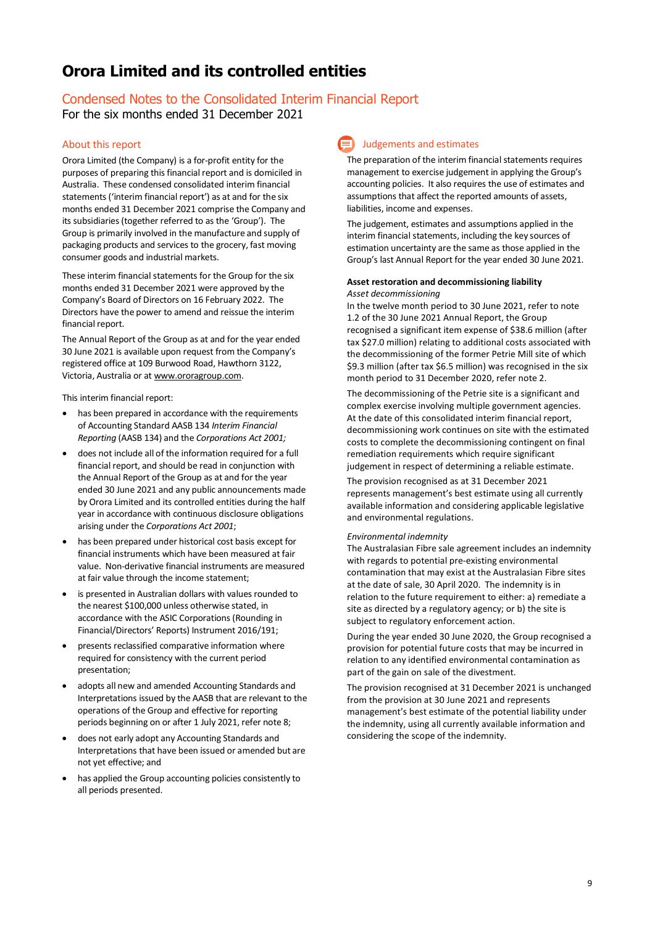# Condensed Notes to the Consolidated Interim Financial Report

For the six months ended 31 December 2021

# About this report

Orora Limited (the Company) is a for-profit entity for the purposes of preparing this financial report and is domiciled in Australia. These condensed consolidated interim financial statements ('interim financial report') as at and for the six months ended 31 December 2021 comprise the Company and its subsidiaries (together referred to as the 'Group'). The Group is primarily involved in the manufacture and supply of packaging products and services to the grocery, fast moving consumer goods and industrial markets.

These interim financial statements for the Group for the six months ended 31 December 2021 were approved by the Company's Board of Directors on 16 February 2022. The Directors have the power to amend and reissue the interim financial report.

The Annual Report of the Group as at and for the year ended 30 June 2021 is available upon request from the Company's registered office at 109 Burwood Road, Hawthorn 3122, Victoria, Australia or a[t www.ororagroup.com.](http://www.ororagroup.com/)

This interim financial report:

- has been prepared in accordance with the requirements of Accounting Standard AASB 134 *Interim Financial Reporting* (AASB 134) and the *Corporations Act 2001;*
- does not include all of the information required for a full financial report, and should be read in conjunction with the Annual Report of the Group as at and for the year ended 30 June 2021 and any public announcements made by Orora Limited and its controlled entities during the half year in accordance with continuous disclosure obligations arising under the *Corporations Act 2001*;
- has been prepared under historical cost basis except for financial instruments which have been measured at fair value. Non-derivative financial instruments are measured at fair value through the income statement;
- is presented in Australian dollars with values rounded to the nearest \$100,000 unless otherwise stated, in accordance with the ASIC Corporations (Rounding in Financial/Directors' Reports) Instrument 2016/191;
- presents reclassified comparative information where required for consistency with the current period presentation;
- adopts all new and amended Accounting Standards and Interpretations issued by the AASB that are relevant to the operations of the Group and effective for reporting periods beginning on or after 1 July 2021, refer note 8;
- does not early adopt any Accounting Standards and Interpretations that have been issued or amended but are not yet effective; and
- has applied the Group accounting policies consistently to all periods presented.

# Judgements and estimates

The preparation of the interim financial statements requires management to exercise judgement in applying the Group's accounting policies. It also requires the use of estimates and assumptions that affect the reported amounts of assets, liabilities, income and expenses.

The judgement, estimates and assumptions applied in the interim financial statements, including the key sources of estimation uncertainty are the same as those applied in the Group's last Annual Report for the year ended 30 June 2021.

### **Asset restoration and decommissioning liability** *Asset decommissioning*

In the twelve month period to 30 June 2021, refer to note 1.2 of the 30 June 2021 Annual Report, the Group recognised a significant item expense of \$38.6 million (after tax \$27.0 million) relating to additional costs associated with the decommissioning of the former Petrie Mill site of which \$9.3 million (after tax \$6.5 million) was recognised in the six month period to 31 December 2020, refer note 2.

The decommissioning of the Petrie site is a significant and complex exercise involving multiple government agencies. At the date of this consolidated interim financial report, decommissioning work continues on site with the estimated costs to complete the decommissioning contingent on final remediation requirements which require significant judgement in respect of determining a reliable estimate.

The provision recognised as at 31 December 2021 represents management's best estimate using all currently available information and considering applicable legislative and environmental regulations.

### *Environmental indemnity*

The Australasian Fibre sale agreement includes an indemnity with regards to potential pre-existing environmental contamination that may exist at the Australasian Fibre sites at the date of sale, 30 April 2020. The indemnity is in relation to the future requirement to either: a) remediate a site as directed by a regulatory agency; or b) the site is subject to regulatory enforcement action.

During the year ended 30 June 2020, the Group recognised a provision for potential future costs that may be incurred in relation to any identified environmental contamination as part of the gain on sale of the divestment.

The provision recognised at 31 December 2021 is unchanged from the provision at 30 June 2021 and represents management's best estimate of the potential liability under the indemnity, using all currently available information and considering the scope of the indemnity.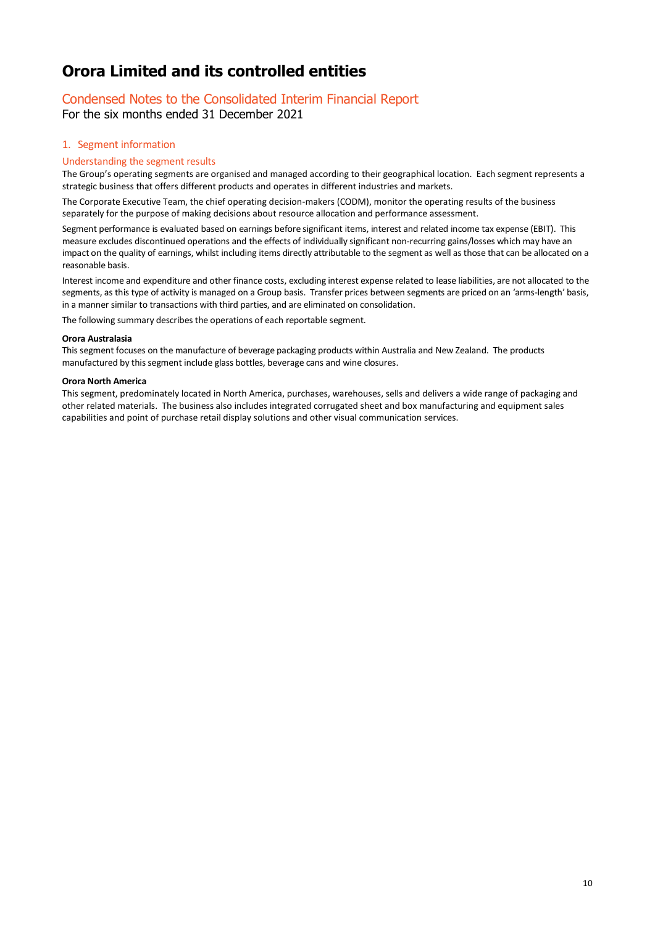# Condensed Notes to the Consolidated Interim Financial Report

For the six months ended 31 December 2021

## 1. Segment information

### Understanding the segment results

The Group's operating segments are organised and managed according to their geographical location. Each segment represents a strategic business that offers different products and operates in different industries and markets.

The Corporate Executive Team, the chief operating decision-makers (CODM), monitor the operating results of the business separately for the purpose of making decisions about resource allocation and performance assessment.

Segment performance is evaluated based on earnings before significant items, interest and related income tax expense (EBIT). This measure excludes discontinued operations and the effects of individually significant non-recurring gains/losses which may have an impact on the quality of earnings, whilst including items directly attributable to the segment as well as those that can be allocated on a reasonable basis.

Interest income and expenditure and other finance costs, excluding interest expense related to lease liabilities, are not allocated to the segments, as this type of activity is managed on a Group basis. Transfer prices between segments are priced on an 'arms-length' basis, in a manner similar to transactions with third parties, and are eliminated on consolidation.

The following summary describes the operations of each reportable segment.

### **Orora Australasia**

This segment focuses on the manufacture of beverage packaging products within Australia and New Zealand. The products manufactured by this segment include glass bottles, beverage cans and wine closures.

### **Orora North America**

This segment, predominately located in North America, purchases, warehouses, sells and delivers a wide range of packaging and other related materials. The business also includes integrated corrugated sheet and box manufacturing and equipment sales capabilities and point of purchase retail display solutions and other visual communication services.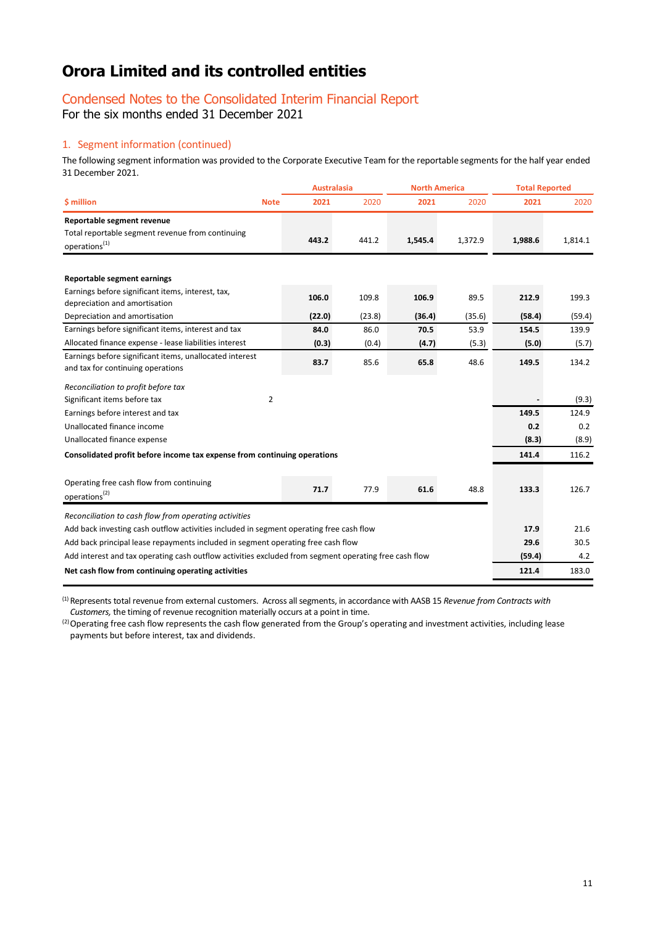# Condensed Notes to the Consolidated Interim Financial Report

For the six months ended 31 December 2021

# 1. Segment information (continued)

The following segment information was provided to the Corporate Executive Team for the reportable segments for the half year ended 31 December 2021.

|                                                                                                       | <b>Australasia</b> |        | <b>North America</b> |         | <b>Total Reported</b> |         |
|-------------------------------------------------------------------------------------------------------|--------------------|--------|----------------------|---------|-----------------------|---------|
| \$ million<br><b>Note</b>                                                                             | 2021               | 2020   | 2021                 | 2020    | 2021                  | 2020    |
| Reportable segment revenue                                                                            |                    |        |                      |         |                       |         |
| Total reportable segment revenue from continuing<br>operations <sup>(1)</sup>                         | 443.2              | 441.2  | 1,545.4              | 1,372.9 | 1,988.6               | 1,814.1 |
| Reportable segment earnings                                                                           |                    |        |                      |         |                       |         |
| Earnings before significant items, interest, tax,<br>depreciation and amortisation                    | 106.0              | 109.8  | 106.9                | 89.5    | 212.9                 | 199.3   |
| Depreciation and amortisation                                                                         | (22.0)             | (23.8) | (36.4)               | (35.6)  | (58.4)                | (59.4)  |
| Earnings before significant items, interest and tax                                                   | 84.0               | 86.0   | 70.5                 | 53.9    | 154.5                 | 139.9   |
| Allocated finance expense - lease liabilities interest                                                | (0.3)              | (0.4)  | (4.7)                | (5.3)   | (5.0)                 | (5.7)   |
| Earnings before significant items, unallocated interest<br>and tax for continuing operations          | 83.7               | 85.6   | 65.8                 | 48.6    | 149.5                 | 134.2   |
| Reconciliation to profit before tax                                                                   |                    |        |                      |         |                       |         |
| $\overline{2}$<br>Significant items before tax                                                        |                    |        |                      |         |                       | (9.3)   |
| Earnings before interest and tax                                                                      |                    |        |                      |         | 149.5                 | 124.9   |
| Unallocated finance income                                                                            |                    |        |                      |         | 0.2                   | 0.2     |
| Unallocated finance expense                                                                           |                    |        |                      |         | (8.3)                 | (8.9)   |
| Consolidated profit before income tax expense from continuing operations                              |                    |        |                      |         | 141.4                 | 116.2   |
|                                                                                                       |                    |        |                      |         |                       |         |
| Operating free cash flow from continuing<br>operations <sup>(2)</sup>                                 | 71.7               | 77.9   | 61.6                 | 48.8    | 133.3                 | 126.7   |
| Reconciliation to cash flow from operating activities                                                 |                    |        |                      |         |                       |         |
| Add back investing cash outflow activities included in segment operating free cash flow               |                    |        |                      |         |                       | 21.6    |
| Add back principal lease repayments included in segment operating free cash flow                      |                    |        |                      |         |                       | 30.5    |
| Add interest and tax operating cash outflow activities excluded from segment operating free cash flow |                    |        |                      |         | (59.4)                | 4.2     |
| Net cash flow from continuing operating activities                                                    |                    |        |                      |         | 121.4                 | 183.0   |

(1) Represents total revenue from external customers. Across all segments, in accordance with AASB 15 *Revenue from Contracts with Customers,* the timing of revenue recognition materially occurs at a point in time.

<sup>(2)</sup> Operating free cash flow represents the cash flow generated from the Group's operating and investment activities, including lease payments but before interest, tax and dividends.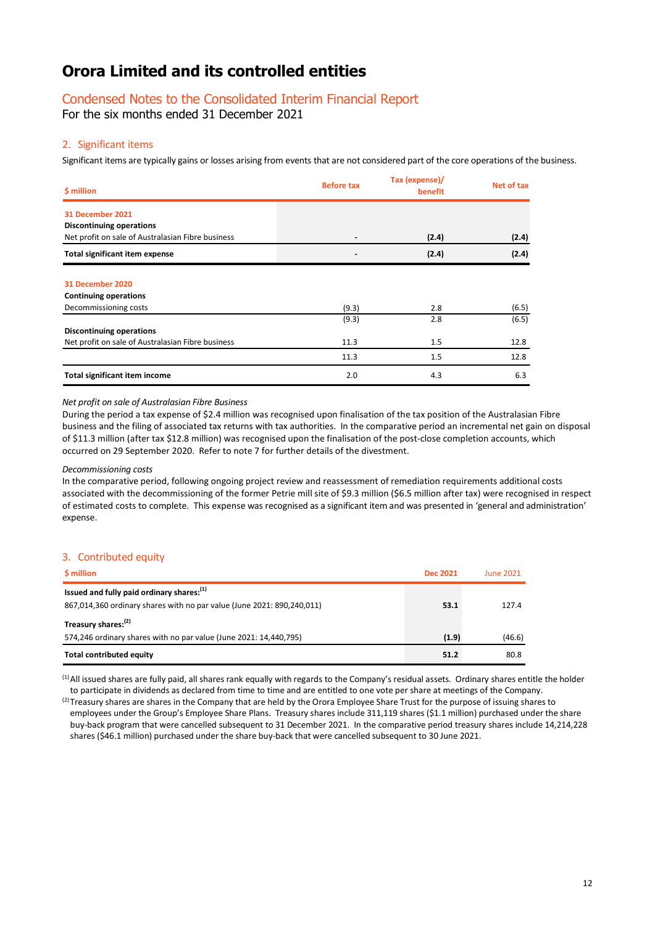# Condensed Notes to the Consolidated Interim Financial Report

For the six months ended 31 December 2021

### 2. Significant items

Significant items are typically gains or losses arising from events that are not considered part of the core operations of the business.

| \$ million                                        | <b>Before tax</b> | Tax (expense)/<br>benefit | Net of tax |
|---------------------------------------------------|-------------------|---------------------------|------------|
| 31 December 2021                                  |                   |                           |            |
| <b>Discontinuing operations</b>                   |                   |                           |            |
| Net profit on sale of Australasian Fibre business |                   | (2.4)                     | (2.4)      |
| <b>Total significant item expense</b>             |                   | (2.4)                     | (2.4)      |
|                                                   |                   |                           |            |
| 31 December 2020                                  |                   |                           |            |
| <b>Continuing operations</b>                      |                   |                           |            |
| Decommissioning costs                             | (9.3)             | 2.8                       | (6.5)      |
|                                                   | (9.3)             | 2.8                       | (6.5)      |
| <b>Discontinuing operations</b>                   |                   |                           |            |
| Net profit on sale of Australasian Fibre business | 11.3              | 1.5                       | 12.8       |
|                                                   | 11.3              | 1.5                       | 12.8       |
| <b>Total significant item income</b>              | 2.0               | 4.3                       | 6.3        |

## *Net profit on sale of Australasian Fibre Business*

During the period a tax expense of \$2.4 million was recognised upon finalisation of the tax position of the Australasian Fibre business and the filing of associated tax returns with tax authorities. In the comparative period an incremental net gain on disposal of \$11.3 million (after tax \$12.8 million) was recognised upon the finalisation of the post-close completion accounts, which occurred on 29 September 2020. Refer to note 7 for further details of the divestment.

### *Decommissioning costs*

In the comparative period, following ongoing project review and reassessment of remediation requirements additional costs associated with the decommissioning of the former Petrie mill site of \$9.3 million (\$6.5 million after tax) were recognised in respect of estimated costs to complete. This expense was recognised as a significant item and was presented in 'general and administration' expense.

### 3. Contributed equity

| <b>S</b> million                                                       | <b>Dec 2021</b> | June 2021 |
|------------------------------------------------------------------------|-----------------|-----------|
| Issued and fully paid ordinary shares: <sup>(1)</sup>                  |                 |           |
| 867,014,360 ordinary shares with no par value (June 2021: 890,240,011) | 53.1            | 127.4     |
| Treasury shares: <sup>(2)</sup>                                        |                 |           |
| 574,246 ordinary shares with no par value (June 2021: 14,440,795)      | (1.9)           | (46.6)    |
| <b>Total contributed equity</b>                                        | 51.2            | 80.8      |

(1)All issued shares are fully paid, all shares rank equally with regards to the Company's residual assets. Ordinary shares entitle the holder to participate in dividends as declared from time to time and are entitled to one vote per share at meetings of the Company.

(2) Treasury shares are shares in the Company that are held by the Orora Employee Share Trust for the purpose of issuing shares to employees under the Group's Employee Share Plans. Treasury shares include 311,119 shares (\$1.1 million) purchased under the share buy-back program that were cancelled subsequent to 31 December 2021. In the comparative period treasury shares include 14,214,228 shares (\$46.1 million) purchased under the share buy-back that were cancelled subsequent to 30 June 2021.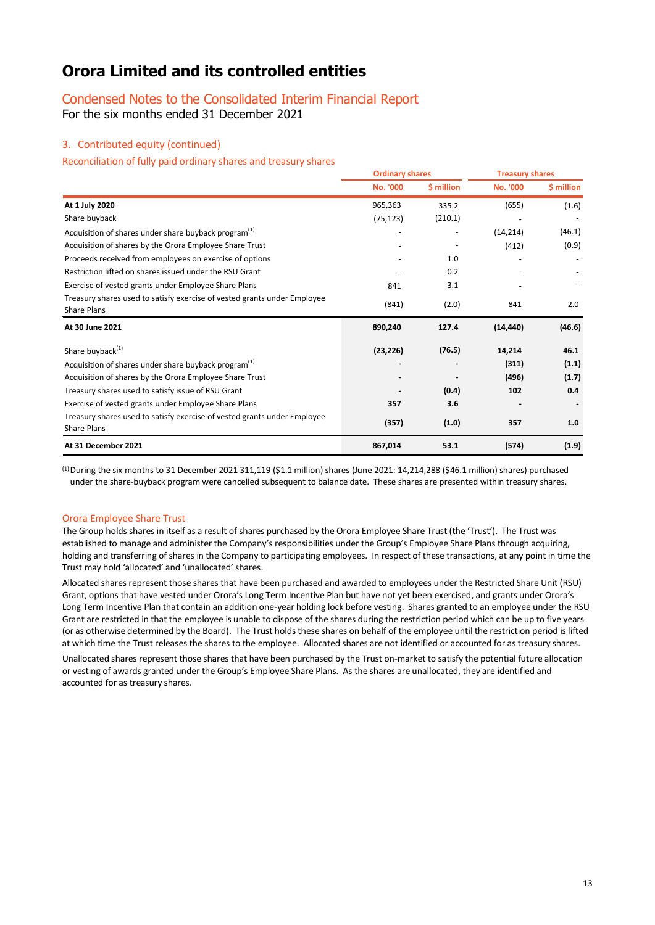# Condensed Notes to the Consolidated Interim Financial Report

For the six months ended 31 December 2021

# 3. Contributed equity (continued)

Reconciliation of fully paid ordinary shares and treasury shares

|                                                                                                | <b>Ordinary shares</b> |            | <b>Treasury shares</b> |            |
|------------------------------------------------------------------------------------------------|------------------------|------------|------------------------|------------|
|                                                                                                | No. '000               | \$ million | No. '000               | \$ million |
| At 1 July 2020                                                                                 | 965,363                | 335.2      | (655)                  | (1.6)      |
| Share buyback                                                                                  | (75, 123)              | (210.1)    |                        |            |
| Acquisition of shares under share buyback program <sup>(1)</sup>                               |                        |            | (14, 214)              | (46.1)     |
| Acquisition of shares by the Orora Employee Share Trust                                        |                        |            | (412)                  | (0.9)      |
| Proceeds received from employees on exercise of options                                        |                        | 1.0        |                        |            |
| Restriction lifted on shares issued under the RSU Grant                                        |                        | 0.2        |                        |            |
| Exercise of vested grants under Employee Share Plans                                           | 841                    | 3.1        |                        |            |
| Treasury shares used to satisfy exercise of vested grants under Employee<br>Share Plans        | (841)                  | (2.0)      | 841                    | 2.0        |
| At 30 June 2021                                                                                | 890,240                | 127.4      | (14, 440)              | (46.6)     |
| Share buyback <sup>(1)</sup>                                                                   | (23, 226)              | (76.5)     | 14,214                 | 46.1       |
| Acquisition of shares under share buyback program <sup>(1)</sup>                               |                        |            | (311)                  | (1.1)      |
| Acquisition of shares by the Orora Employee Share Trust                                        |                        |            | (496)                  | (1.7)      |
| Treasury shares used to satisfy issue of RSU Grant                                             |                        | (0.4)      | 102                    | 0.4        |
| Exercise of vested grants under Employee Share Plans                                           | 357                    | 3.6        |                        |            |
| Treasury shares used to satisfy exercise of vested grants under Employee<br><b>Share Plans</b> | (357)                  | (1.0)      | 357                    | 1.0        |
| At 31 December 2021                                                                            | 867,014                | 53.1       | (574)                  | (1.9)      |

 $^{(1)}$  During the six months to 31 December 2021 311,119 (\$1.1 million) shares (June 2021: 14,214,288 (\$46.1 million) shares) purchased under the share-buyback program were cancelled subsequent to balance date. These shares are presented within treasury shares.

### Orora Employee Share Trust

The Group holds shares in itself as a result of shares purchased by the Orora Employee Share Trust (the 'Trust'). The Trust was established to manage and administer the Company's responsibilities under the Group's Employee Share Plans through acquiring, holding and transferring of shares in the Company to participating employees. In respect of these transactions, at any point in time the Trust may hold 'allocated' and 'unallocated'shares.

Allocated shares represent those shares that have been purchased and awarded to employees under the Restricted Share Unit (RSU) Grant, options that have vested under Orora's Long Term Incentive Plan but have not yet been exercised, and grants under Orora's Long Term Incentive Plan that contain an addition one-year holding lock before vesting. Shares granted to an employee under the RSU Grant are restricted in that the employee is unable to dispose of the shares during the restriction period which can be up to five years (or as otherwise determined by the Board). The Trust holds these shares on behalf of the employee until the restriction period is lifted at which time the Trust releases the shares to the employee. Allocated shares are not identified or accounted for as treasury shares.

Unallocated shares represent those shares that have been purchased by the Trust on-market to satisfy the potential future allocation or vesting of awards granted under the Group's Employee Share Plans. As the shares are unallocated, they are identified and accounted for as treasury shares.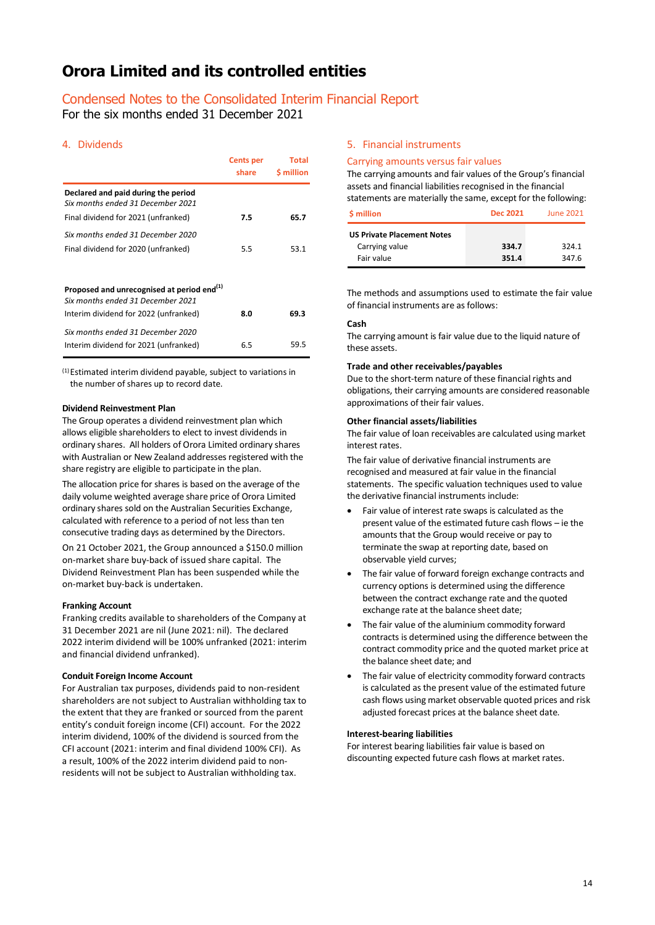# Condensed Notes to the Consolidated Interim Financial Report

For the six months ended 31 December 2021

### 4. Dividends

|                                                                          | Cents per<br>share | Total<br><b>S</b> million |
|--------------------------------------------------------------------------|--------------------|---------------------------|
| Declared and paid during the period<br>Six months ended 31 December 2021 |                    |                           |
| Final dividend for 2021 (unfranked)                                      | 7.5                | 65.7                      |
| Six months ended 31 December 2020                                        |                    |                           |
| Final dividend for 2020 (unfranked)                                      | 5.5                | 53.1                      |
|                                                                          |                    |                           |
| Proposed and unrecognised at period end <sup>(1)</sup>                   |                    |                           |
| Six months ended 31 December 2021                                        |                    |                           |
| Interim dividend for 2022 (unfranked)                                    | 8.0                | 69.3                      |
| Six months ended 31 December 2020                                        |                    |                           |
| Interim dividend for 2021 (unfranked)                                    | 6.5                | 59.5                      |

<sup>(1)</sup> Estimated interim dividend payable, subject to variations in the number of shares up to record date.

### **Dividend Reinvestment Plan**

The Group operates a dividend reinvestment plan which allows eligible shareholders to elect to invest dividends in ordinary shares. All holders of Orora Limited ordinary shares with Australian or New Zealand addresses registered with the share registry are eligible to participate in the plan.

The allocation price for shares is based on the average of the daily volume weighted average share price of Orora Limited ordinary shares sold on the Australian Securities Exchange, calculated with reference to a period of not less than ten consecutive trading days as determined by the Directors.

On 21 October 2021, the Group announced a \$150.0 million on-market share buy-back of issued share capital. The Dividend Reinvestment Plan has been suspended while the on-market buy-back is undertaken.

### **Franking Account**

Franking credits available to shareholders of the Company at 31 December 2021 are nil (June 2021: nil). The declared 2022 interim dividend will be 100% unfranked (2021: interim and financial dividend unfranked).

### **Conduit Foreign Income Account**

For Australian tax purposes, dividends paid to non-resident shareholders are not subject to Australian withholding tax to the extent that they are franked or sourced from the parent entity's conduit foreign income (CFI) account. For the 2022 interim dividend, 100% of the dividend is sourced from the CFI account (2021: interim and final dividend 100% CFI). As a result, 100% of the 2022 interim dividend paid to nonresidents will not be subject to Australian withholding tax.

### 5. Financial instruments

### Carrying amounts versus fair values

The carrying amounts and fair values of the Group's financial assets and financial liabilities recognised in the financial statements are materially the same, except for the following:

| <b>S</b> million                  | Dec 2021 | <b>June 2021</b> |
|-----------------------------------|----------|------------------|
| <b>US Private Placement Notes</b> |          |                  |
| Carrying value                    | 334.7    | 324.1            |
| Fair value                        | 351.4    | 347.6            |

The methods and assumptions used to estimate the fair value of financial instruments are as follows:

### **Cash**

The carrying amount is fair value due to the liquid nature of these assets.

### **Trade and other receivables/payables**

Due to the short-term nature of these financial rights and obligations, their carrying amounts are considered reasonable approximations of their fair values.

### **Other financial assets/liabilities**

The fair value of loan receivables are calculated using market interest rates.

The fair value of derivative financial instruments are recognised and measured at fair value in the financial statements. The specific valuation techniques used to value the derivative financial instruments include:

- Fair value of interest rate swaps is calculated as the present value of the estimated future cash flows – ie the amounts that the Group would receive or pay to terminate the swap at reporting date, based on observable yield curves;
- The fair value of forward foreign exchange contracts and currency options is determined using the difference between the contract exchange rate and the quoted exchange rate at the balance sheet date;
- The fair value of the aluminium commodity forward contracts is determined using the difference between the contract commodity price and the quoted market price at the balance sheet date; and
- The fair value of electricity commodity forward contracts is calculated as the present value of the estimated future cash flows using market observable quoted prices and risk adjusted forecast prices at the balance sheet date.

### **Interest-bearing liabilities**

For interest bearing liabilities fair value is based on discounting expected future cash flows at market rates.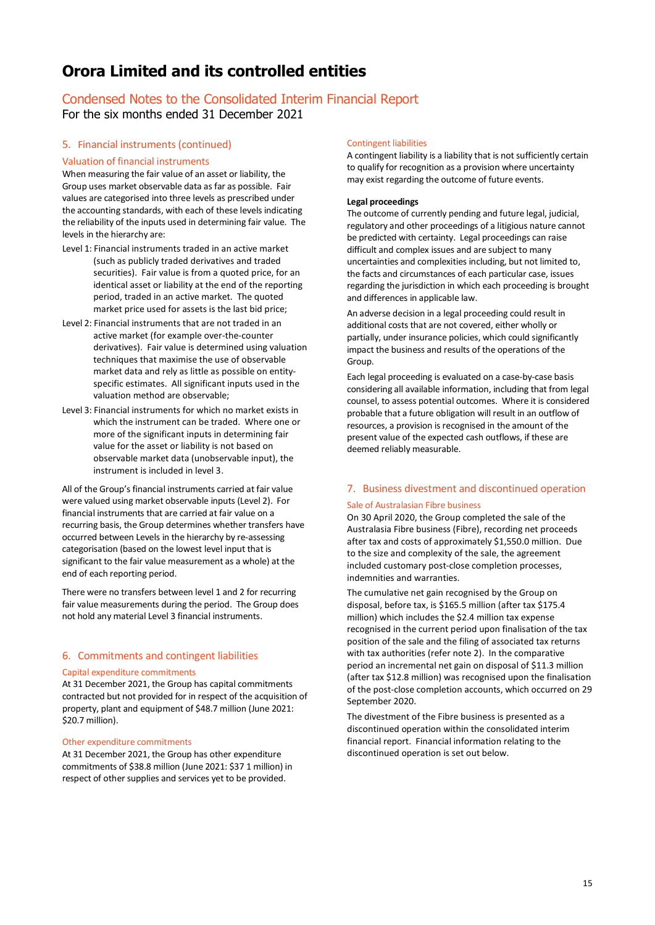# Condensed Notes to the Consolidated Interim Financial Report For the six months ended 31 December 2021

### 5. Financial instruments(continued)

### Valuation of financial instruments

When measuring the fair value of an asset or liability, the Group uses market observable data as far as possible. Fair values are categorised into three levels as prescribed under the accounting standards, with each of these levels indicating the reliability of the inputs used in determining fair value. The levels in the hierarchy are:

- Level 1: Financial instruments traded in an active market (such as publicly traded derivatives and traded securities). Fair value is from a quoted price, for an identical asset or liability at the end of the reporting period, traded in an active market. The quoted market price used for assets is the last bid price;
- Level 2: Financial instruments that are not traded in an active market (for example over-the-counter derivatives). Fair value is determined using valuation techniques that maximise the use of observable market data and rely as little as possible on entityspecific estimates. All significant inputs used in the valuation method are observable;
- Level 3: Financial instruments for which no market exists in which the instrument can be traded. Where one or more of the significant inputs in determining fair value for the asset or liability is not based on observable market data (unobservable input), the instrument is included in level 3.

All of the Group's financial instruments carried at fair value were valued using market observable inputs (Level 2). For financial instruments that are carried at fair value on a recurring basis, the Group determines whether transfers have occurred between Levels in the hierarchy by re-assessing categorisation (based on the lowest level input that is significant to the fair value measurement as a whole) at the end of each reporting period.

There were no transfers between level 1 and 2 for recurring fair value measurements during the period. The Group does not hold any material Level 3 financial instruments.

### 6. Commitments and contingent liabilities

### Capital expenditure commitments

At 31 December 2021, the Group has capital commitments contracted but not provided for in respect of the acquisition of property, plant and equipment of \$48.7 million (June 2021: \$20.7 million).

### Other expenditure commitments

At 31 December 2021, the Group has other expenditure commitments of \$38.8 million (June 2021: \$37 1 million) in respect of other supplies and services yet to be provided.

#### Contingent liabilities

A contingent liability is a liability that is not sufficiently certain to qualify for recognition as a provision where uncertainty may exist regarding the outcome of future events.

#### **Legal proceedings**

The outcome of currently pending and future legal, judicial, regulatory and other proceedings of a litigious nature cannot be predicted with certainty. Legal proceedings can raise difficult and complex issues and are subject to many uncertainties and complexities including, but not limited to, the facts and circumstances of each particular case, issues regarding the jurisdiction in which each proceeding is brought and differences in applicable law.

An adverse decision in a legal proceeding could result in additional costs that are not covered, either wholly or partially, under insurance policies, which could significantly impact the business and results of the operations of the Group.

Each legal proceeding is evaluated on a case-by-case basis considering all available information, including that from legal counsel, to assess potential outcomes. Where it is considered probable that a future obligation will result in an outflow of resources, a provision is recognised in the amount of the present value of the expected cash outflows, if these are deemed reliably measurable.

# 7. Business divestment and discontinued operation Sale of Australasian Fibre business

On 30 April 2020, the Group completed the sale of the Australasia Fibre business (Fibre), recording net proceeds after tax and costs of approximately \$1,550.0 million. Due to the size and complexity of the sale, the agreement included customary post-close completion processes, indemnities and warranties.

The cumulative net gain recognised by the Group on disposal, before tax, is \$165.5 million (after tax \$175.4 million) which includes the \$2.4 million tax expense recognised in the current period upon finalisation of the tax position of the sale and the filing of associated tax returns with tax authorities (refer note 2). In the comparative period an incremental net gain on disposal of \$11.3 million (after tax \$12.8 million) was recognised upon the finalisation of the post-close completion accounts, which occurred on 29 September 2020.

The divestment of the Fibre business is presented as a discontinued operation within the consolidated interim financial report. Financial information relating to the discontinued operation is set out below.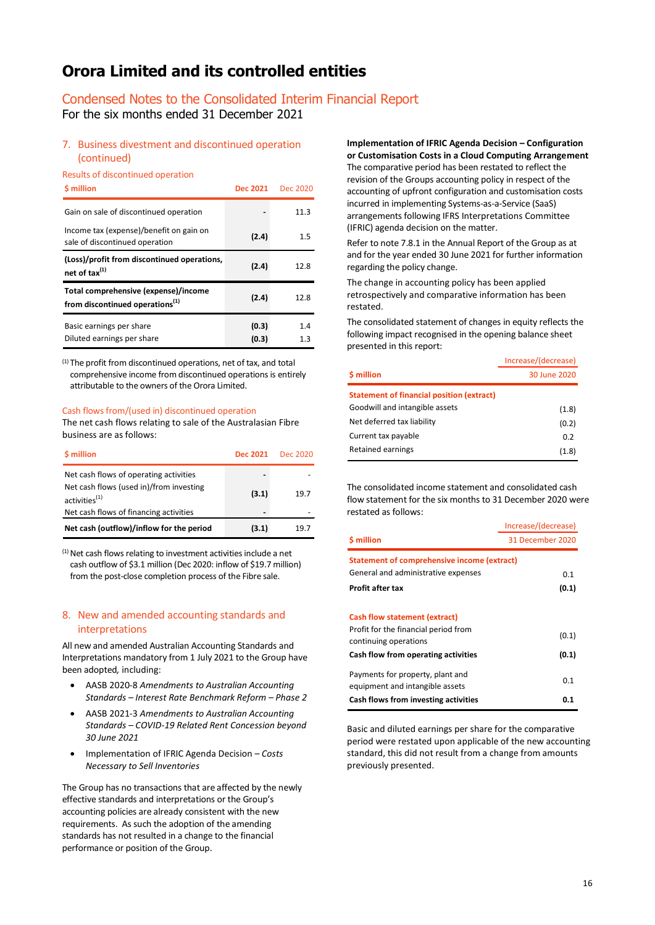# Condensed Notes to the Consolidated Interim Financial Report

For the six months ended 31 December 2021

# 7. Business divestment and discontinued operation (continued)

## Results of discontinued operation

| <b>S</b> million                                                                    | <b>Dec 2021</b> | Dec 2020   |
|-------------------------------------------------------------------------------------|-----------------|------------|
| Gain on sale of discontinued operation                                              |                 | 11.3       |
| Income tax (expense)/benefit on gain on<br>sale of discontinued operation           | (2.4)           | 1.5        |
| (Loss)/profit from discontinued operations,<br>net of tax $^{(1)}$                  | (2.4)           | 12.8       |
| Total comprehensive (expense)/income<br>from discontinued operations <sup>(1)</sup> | (2.4)           | 12.8       |
| Basic earnings per share<br>Diluted earnings per share                              | (0.3)<br>(0.3)  | 1.4<br>1.3 |

(1) The profit from discontinued operations, net of tax, and total comprehensive income from discontinued operations is entirely attributable to the owners of the Orora Limited.

### Cash flows from/(used in) discontinued operation

The net cash flows relating to sale of the Australasian Fibre business are as follows:

| \$ million                                                           | Dec 2021 | Dec 2020 |
|----------------------------------------------------------------------|----------|----------|
| Net cash flows of operating activities                               |          |          |
| Net cash flows (used in)/from investing<br>activities <sup>(1)</sup> | (3.1)    | 19.7     |
| Net cash flows of financing activities                               |          |          |
| Net cash (outflow)/inflow for the period                             | (3.1)    | 19.7     |

 $(1)$  Net cash flows relating to investment activities include a net cash outflow of \$3.1 million (Dec 2020: inflow of \$19.7 million) from the post-close completion process of the Fibre sale.

## 8. New and amended accounting standards and interpretations

All new and amended Australian Accounting Standards and Interpretations mandatory from 1 July 2021 to the Group have been adopted*,* including:

- AASB 2020-8 *Amendments to Australian Accounting Standards – Interest Rate Benchmark Reform – Phase 2*
- AASB 2021-3 *Amendments to Australian Accounting Standards – COVID-19 Related Rent Concession beyond 30 June 2021*
- Implementation of IFRIC Agenda Decision *Costs Necessary to Sell Inventories*

The Group has no transactions that are affected by the newly effective standards and interpretations or the Group's accounting policies are already consistent with the new requirements. As such the adoption of the amending standards has not resulted in a change to the financial performance or position of the Group.

#### **Implementation of IFRIC Agenda Decision – Configuration or Customisation Costs in a Cloud Computing Arrangement**

The comparative period has been restated to reflect the revision of the Groups accounting policy in respect of the accounting of upfront configuration and customisation costs incurred in implementing Systems-as-a-Service (SaaS) arrangements following IFRS Interpretations Committee (IFRIC) agenda decision on the matter.

Refer to note 7.8.1 in the Annual Report of the Group as at and for the year ended 30 June 2021 for further information regarding the policy change.

The change in accounting policy has been applied retrospectively and comparative information has been restated.

The consolidated statement of changes in equity reflects the following impact recognised in the opening balance sheet presented in this report:

|                                                  | Increase/(decrease) |
|--------------------------------------------------|---------------------|
| \$ million                                       | 30 June 2020        |
| <b>Statement of financial position (extract)</b> |                     |
| Goodwill and intangible assets                   | (1.8)               |
| Net deferred tax liability                       | (0.2)               |
| Current tax payable                              | 0.2                 |
| Retained earnings                                | (1.8)               |

The consolidated income statement and consolidated cash flow statement for the six months to 31 December 2020 were restated as follows:

|                                                                                                                                              | Increase/(decrease) |
|----------------------------------------------------------------------------------------------------------------------------------------------|---------------------|
| \$ million                                                                                                                                   | 31 December 2020    |
| Statement of comprehensive income (extract)<br>General and administrative expenses<br>Profit after tax                                       | 0.1<br>(0.1)        |
| <b>Cash flow statement (extract)</b><br>Profit for the financial period from<br>continuing operations<br>Cash flow from operating activities | (0.1)<br>(0.1)      |
| Payments for property, plant and<br>equipment and intangible assets                                                                          | 0.1                 |
| Cash flows from investing activities                                                                                                         | 0.1                 |

Basic and diluted earnings per share for the comparative period were restated upon applicable of the new accounting standard, this did not result from a change from amounts previously presented.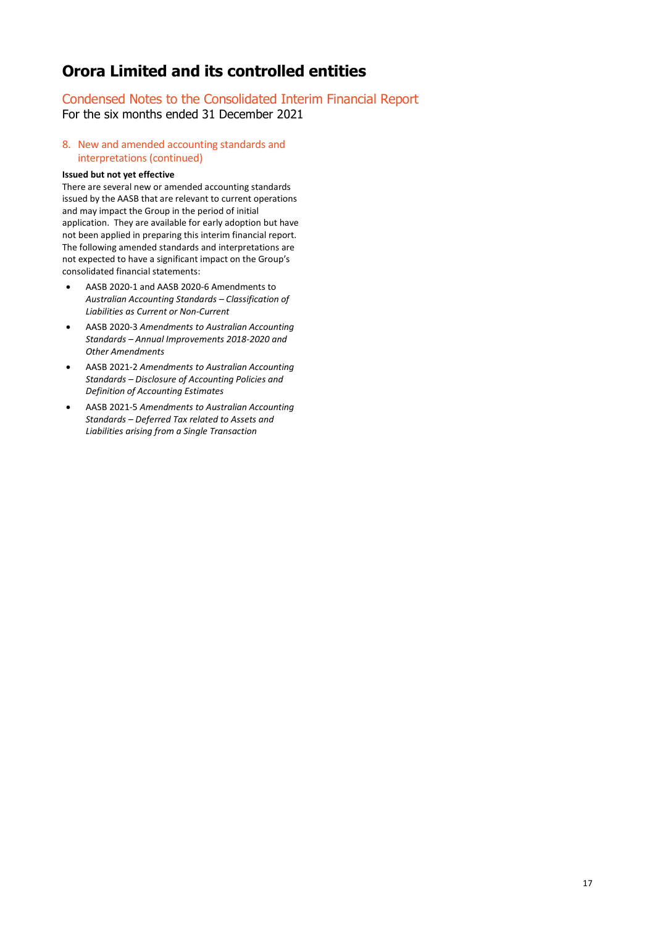# Condensed Notes to the Consolidated Interim Financial Report For the six months ended 31 December 2021

# 8. New and amended accounting standards and interpretations (continued)

### **Issued but not yet effective**

There are several new or amended accounting standards issued by the AASB that are relevant to current operations and may impact the Group in the period of initial application. They are available for early adoption but have not been applied in preparing this interim financial report. The following amended standards and interpretations are not expected to have a significant impact on the Group's consolidated financial statements:

- AASB 2020-1 and AASB 2020-6 Amendments to *Australian Accounting Standards – Classification of Liabilities as Current or Non-Current*
- AASB 2020-3 *Amendments to Australian Accounting Standards – Annual Improvements 2018-2020 and Other Amendments*
- AASB 2021-2 *Amendments to Australian Accounting Standards – Disclosure of Accounting Policies and Definition of Accounting Estimates*
- AASB 2021-5 *Amendments to Australian Accounting Standards – Deferred Tax related to Assets and Liabilities arising from a Single Transaction*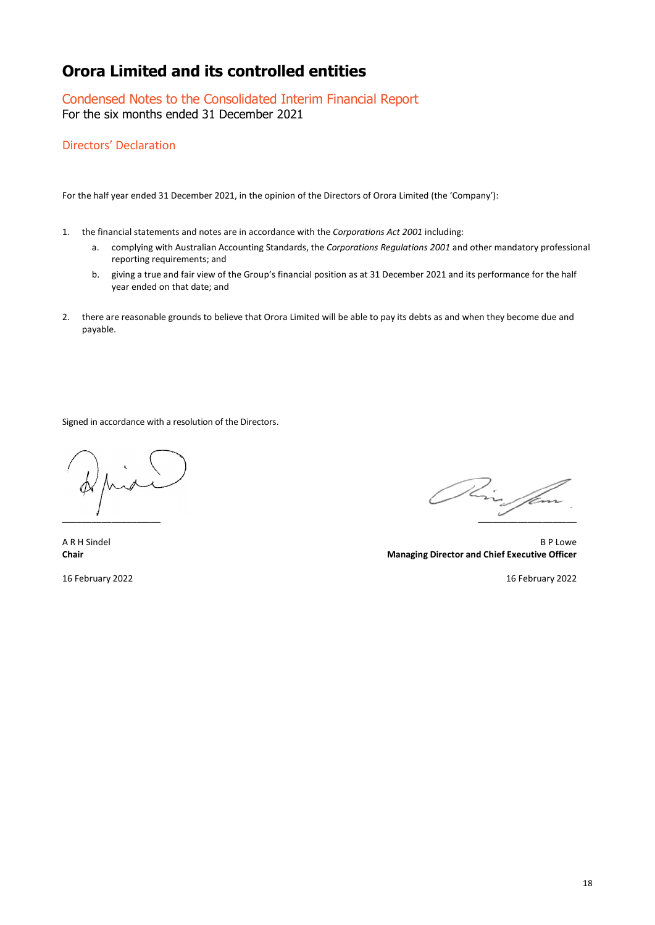Condensed Notes to the Consolidated Interim Financial Report For the six months ended 31 December 2021

Directors' Declaration

For the half year ended 31 December 2021, in the opinion of the Directors of Orora Limited (the 'Company'):

- 1. the financial statements and notes are in accordance with the *Corporations Act 2001* including:
	- a. complying with Australian Accounting Standards, the *Corporations Regulations 2001* and other mandatory professional reporting requirements; and
	- b. giving a true and fair view of the Group's financial position as at 31 December 2021 and its performance for the half year ended on that date; and
- 2. there are reasonable grounds to believe that Orora Limited will be able to pay its debts as and when they become due and payable.

Signed in accordance with a resolution of the Directors.

\_\_\_\_\_\_\_\_\_\_\_\_\_\_\_\_\_\_\_\_ \_\_\_\_\_\_\_\_\_\_\_\_\_\_\_\_\_\_\_\_

A R H Sindel B P Lowe **Chair Managing Director and Chief Executive Officer**

16 February 2022 16 February 2022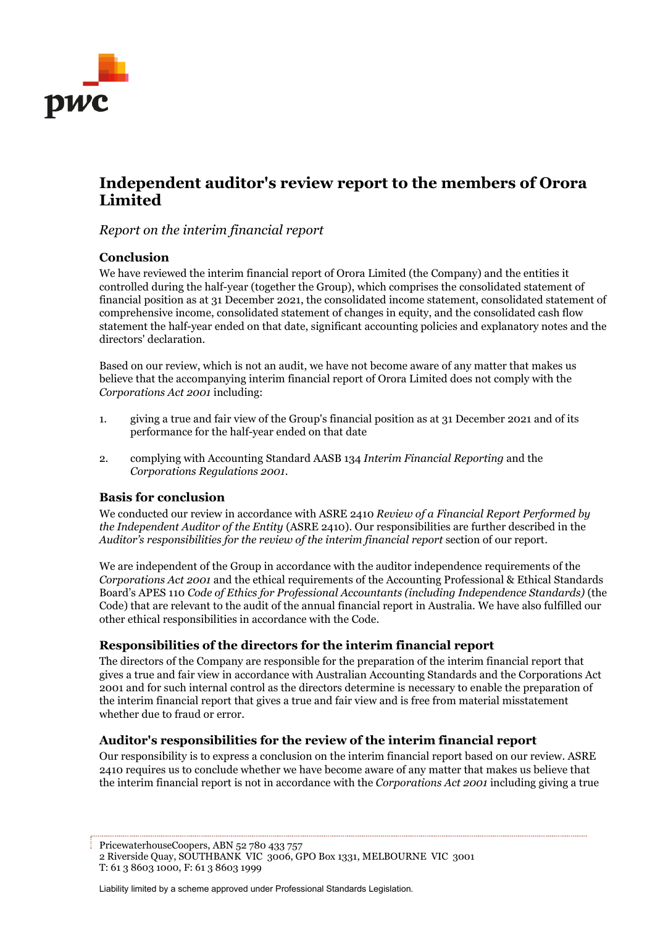

# **Independent auditor's review report to the members of Orora Limited**

*Report on the interim financial report*

# **Conclusion**

We have reviewed the interim financial report of Orora Limited (the Company) and the entities it controlled during the half-year (together the Group), which comprises the consolidated statement of financial position as at 31 December 2021, the consolidated income statement, consolidated statement of comprehensive income, consolidated statement of changes in equity, and the consolidated cash flow statement the half-year ended on that date, significant accounting policies and explanatory notes and the directors' declaration.

Based on our review, which is not an audit, we have not become aware of any matter that makes us believe that the accompanying interim financial report of Orora Limited does not comply with the *Corporations Act 2001* including:

- 1. giving a true and fair view of the Group's financial position as at 31 December 2021 and of its performance for the half-year ended on that date
- 2. complying with Accounting Standard AASB 134 *Interim Financial Reporting* and the *Corporations Regulations 2001*.

# **Basis for conclusion**

We conducted our review in accordance with ASRE 2410 *Review of a Financial Report Performed by the Independent Auditor of the Entity* (ASRE 2410). Our responsibilities are further described in the *Auditor's responsibilities for the review of the interim financial report* section of our report.

We are independent of the Group in accordance with the auditor independence requirements of the *Corporations Act 2001* and the ethical requirements of the Accounting Professional & Ethical Standards Board's APES 110 *Code of Ethics for Professional Accountants (including Independence Standards)* (the Code) that are relevant to the audit of the annual financial report in Australia. We have also fulfilled our other ethical responsibilities in accordance with the Code.

# **Responsibilities of the directors for the interim financial report**

The directors of the Company are responsible for the preparation of the interim financial report that gives a true and fair view in accordance with Australian Accounting Standards and the Corporations Act 2001 and for such internal control as the directors determine is necessary to enable the preparation of the interim financial report that gives a true and fair view and is free from material misstatement whether due to fraud or error.

# **Auditor's responsibilities for the review of the interim financial report**

Our responsibility is to express a conclusion on the interim financial report based on our review. ASRE 2410 requires us to conclude whether we have become aware of any matter that makes us believe that the interim financial report is not in accordance with the *Corporations Act 2001* including giving a true

PricewaterhouseCoopers, ABN 52 780 433 757 2 Riverside Quay, SOUTHBANK VIC 3006, GPO Box 1331, MELBOURNE VIC 3001 T: 61 3 8603 1000, F: 61 3 8603 1999

Liability limited by a scheme approved under Professional Standards Legislation.